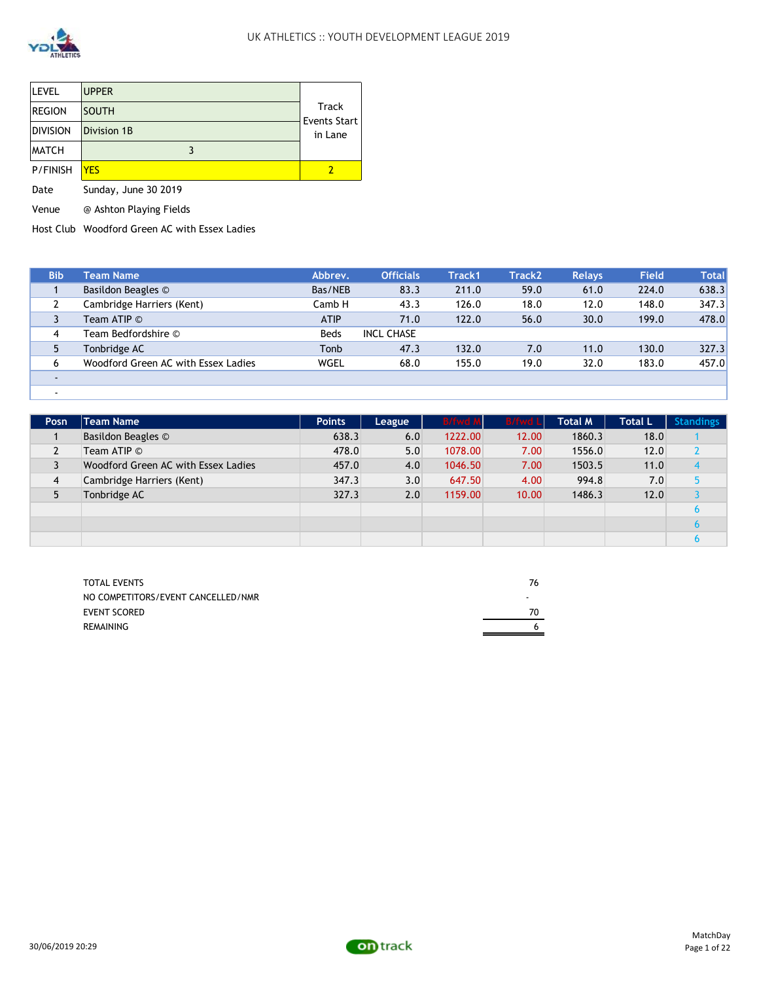

| <b>LEVEL</b>    | <b>UPPER</b> |                              |
|-----------------|--------------|------------------------------|
| <b>REGION</b>   | <b>SOUTH</b> | <b>Track</b><br>Events Start |
| <b>DIVISION</b> | Division 1B  | in Lane                      |
| <b>MATCH</b>    |              |                              |
| <b>P/FINISH</b> | YFS          |                              |

Date Sunday, June 30 2019

Venue @ Ashton Playing Fields

Host Club Woodford Green AC with Essex Ladies

| <b>Bib</b> | Team Name                           | Abbrev.     | <b>Officials</b>  | Track1 | <b>Track2</b> | <b>Relays</b> | <b>Field</b> | <b>Total</b> |
|------------|-------------------------------------|-------------|-------------------|--------|---------------|---------------|--------------|--------------|
|            | Basildon Beagles ©                  | Bas/NEB     | 83.3              | 211.0  | 59.0          | 61.0          | 224.0        | 638.3        |
|            | Cambridge Harriers (Kent)           | Camb H      | 43.3              | 126.0  | 18.0          | 12.0          | 148.0        | 347.3        |
| 3          | Team ATIP ©                         | <b>ATIP</b> | 71.0              | 122.0  | 56.0          | 30.0          | 199.0        | 478.0        |
| 4          | Team Bedfordshire ©                 | <b>Beds</b> | <b>INCL CHASE</b> |        |               |               |              |              |
| 5          | Tonbridge AC                        | Tonb        | 47.3              | 132.0  | 7.0           | 11.0          | 130.0        | 327.3        |
| 6          | Woodford Green AC with Essex Ladies | <b>WGEL</b> | 68.0              | 155.0  | 19.0          | 32.0          | 183.0        | 457.0        |
|            |                                     |             |                   |        |               |               |              |              |
|            |                                     |             |                   |        |               |               |              |              |

| Posn.          | <b>Team Name</b>                    | <b>Points</b> | League | <b>B/fwd M</b> | <b>B/fwd L</b> | <b>Total M</b> | <b>Total L</b> | <b>Standings</b> |
|----------------|-------------------------------------|---------------|--------|----------------|----------------|----------------|----------------|------------------|
|                | Basildon Beagles ©                  | 638.3         | 6.0    | 1222.00        | 12.00          | 1860.3         | 18.0           |                  |
|                | Team ATIP ©                         | 478.0         | 5.0    | 1078.00        | 7.00           | 1556.0         | 12.0           |                  |
|                | Woodford Green AC with Essex Ladies | 457.0         | 4.0    | 1046.50        | 7.00           | 1503.5         | 11.0           |                  |
| $\overline{4}$ | Cambridge Harriers (Kent)           | 347.3         | 3.0    | 647.50         | 4.00           | 994.8          | 7.0            |                  |
|                | Tonbridge AC                        | 327.3         | 2.0    | 1159.00        | 10.00          | 1486.3         | 12.0           |                  |
|                |                                     |               |        |                |                |                |                |                  |
|                |                                     |               |        |                |                |                |                |                  |
|                |                                     |               |        |                |                |                |                |                  |

| <b>TOTAL EVENTS</b>                | 76 |
|------------------------------------|----|
| NO COMPETITORS/EVENT CANCELLED/NMR |    |
| <b>EVENT SCORED</b>                | 70 |
| REMAINING                          |    |

| 76 |  |
|----|--|
|    |  |
| 70 |  |
| 6  |  |
|    |  |

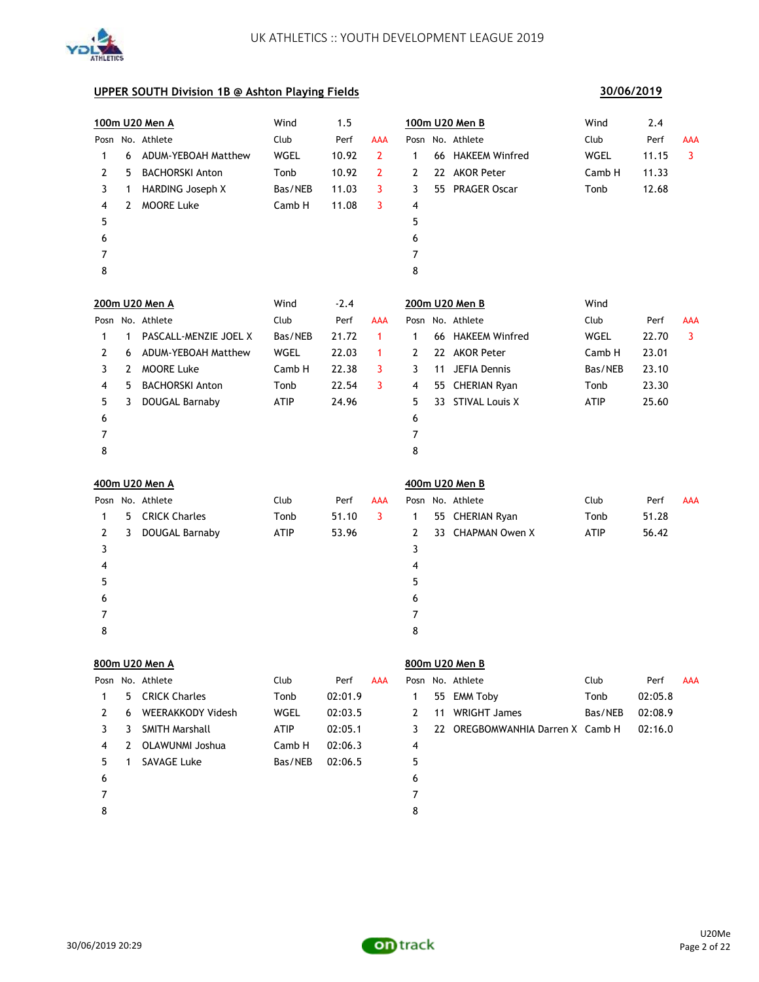

## **30/06/2019**

|      |    | 100m U20 Men A             | Wind    | 1.5     |              |   |    | 100m U20 Men B                   | Wind    | 2.4     |            |
|------|----|----------------------------|---------|---------|--------------|---|----|----------------------------------|---------|---------|------------|
|      |    | Posn No. Athlete           | Club    | Perf    | <b>AAA</b>   |   |    | Posn No. Athlete                 | Club    | Perf    | <b>AAA</b> |
| 1    | 6  | <b>ADUM-YEBOAH Matthew</b> | WGEL    | 10.92   | $\mathbf{2}$ | 1 |    | 66 HAKEEM Winfred                | WGEL    | 11.15   | 3          |
| 2    | 5  | <b>BACHORSKI Anton</b>     | Tonb    | 10.92   | 2            | 2 |    | 22 AKOR Peter                    | Camb H  | 11.33   |            |
| 3    | 1  | HARDING Joseph X           | Bas/NEB | 11.03   | 3            | 3 |    | 55 PRAGER Oscar                  | Tonb    | 12.68   |            |
| 4    | 2  | <b>MOORE Luke</b>          | Camb H  | 11.08   | 3            | 4 |    |                                  |         |         |            |
| 5    |    |                            |         |         |              | 5 |    |                                  |         |         |            |
| 6    |    |                            |         |         |              | 6 |    |                                  |         |         |            |
| 7    |    |                            |         |         |              | 7 |    |                                  |         |         |            |
| 8    |    |                            |         |         |              | 8 |    |                                  |         |         |            |
|      |    | 200m U20 Men A             | Wind    | $-2.4$  |              |   |    | 200m U20 Men B                   | Wind    |         |            |
| Posn |    | No. Athlete                | Club    | Perf    | AAA          |   |    | Posn No. Athlete                 | Club    | Perf    | AAA        |
| 1    | 1  | PASCALL-MENZIE JOEL X      | Bas/NEB | 21.72   | 1            | 1 |    | 66 HAKEEM Winfred                | WGEL    | 22.70   | 3          |
| 2    | 6  | ADUM-YEBOAH Matthew        | WGEL    | 22.03   | 1            | 2 |    | 22 AKOR Peter                    | Camb H  | 23.01   |            |
| 3    | 2  | <b>MOORE Luke</b>          | Camb H  | 22.38   | 3            | 3 | 11 | JEFIA Dennis                     | Bas/NEB | 23.10   |            |
| 4    | 5. | <b>BACHORSKI Anton</b>     | Tonb    | 22.54   | 3            | 4 |    | 55 CHERIAN Ryan                  | Tonb    | 23.30   |            |
| 5    | 3  | DOUGAL Barnaby             | ATIP    | 24.96   |              | 5 |    | 33 STIVAL Louis X                | ATIP    | 25.60   |            |
| 6    |    |                            |         |         |              | 6 |    |                                  |         |         |            |
| 7    |    |                            |         |         |              | 7 |    |                                  |         |         |            |
| 8    |    |                            |         |         |              | 8 |    |                                  |         |         |            |
|      |    | 400m U20 Men A             |         |         |              |   |    | 400m U20 Men B                   |         |         |            |
| Posn |    | No. Athlete                | Club    | Perf    | AAA          |   |    | Posn No. Athlete                 | Club    | Perf    | AAA        |
| 1    | 5. | <b>CRICK Charles</b>       | Tonb    | 51.10   | 3            | 1 |    | 55 CHERIAN Ryan                  | Tonb    | 51.28   |            |
| 2    | 3  | DOUGAL Barnaby             | ATIP    | 53.96   |              | 2 |    | 33 CHAPMAN Owen X                | ATIP    | 56.42   |            |
| 3    |    |                            |         |         |              | 3 |    |                                  |         |         |            |
| 4    |    |                            |         |         |              | 4 |    |                                  |         |         |            |
| 5    |    |                            |         |         |              | 5 |    |                                  |         |         |            |
| 6    |    |                            |         |         |              | 6 |    |                                  |         |         |            |
| 7    |    |                            |         |         |              | 7 |    |                                  |         |         |            |
| 8    |    |                            |         |         |              | 8 |    |                                  |         |         |            |
|      |    | 800m U20 Men A             |         |         |              |   |    | 800m U20 Men B                   |         |         |            |
|      |    | Posn No. Athlete           | Club    | Perf    | <b>AAA</b>   |   |    | Posn No. Athlete                 | Club    | Perf    | AAA        |
| 1    | 5  | <b>CRICK Charles</b>       | Tonb    | 02:01.9 |              | 1 |    | 55 EMM Toby                      | Tonb    | 02:05.8 |            |
| 2    | 6  | <b>WEERAKKODY Videsh</b>   | WGEL    | 02:03.5 |              | 2 |    | 11 WRIGHT James                  | Bas/NEB | 02:08.9 |            |
| 3    | 3  | <b>SMITH Marshall</b>      | ATIP    | 02:05.1 |              | 3 |    | 22 OREGBOMWANHIA Darren X Camb H |         | 02:16.0 |            |
| 4    | 2  | <b>OLAWUNMI Joshua</b>     | Camb H  | 02:06.3 |              | 4 |    |                                  |         |         |            |
| 5    | 1  | SAVAGE Luke                | Bas/NEB | 02:06.5 |              | 5 |    |                                  |         |         |            |
| 6    |    |                            |         |         |              | 6 |    |                                  |         |         |            |
| 7    |    |                            |         |         |              | 7 |    |                                  |         |         |            |
| 8    |    |                            |         |         |              | 8 |    |                                  |         |         |            |

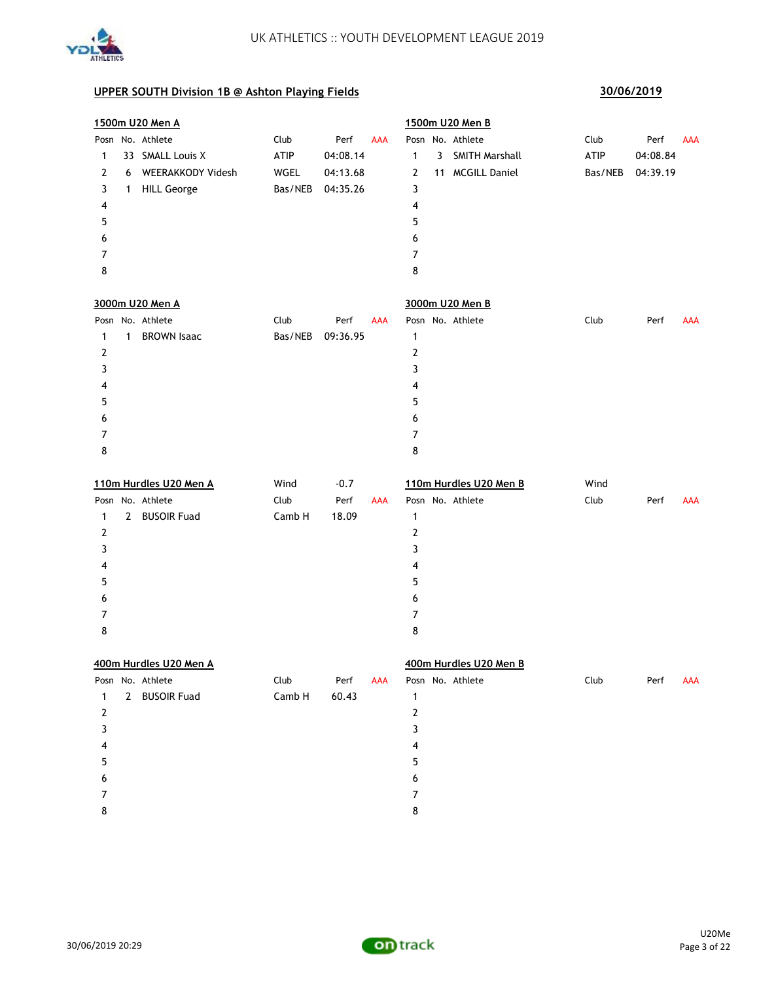

|                |   | 1500m U20 Men A        |         |          |            |                |              | 1500m U20 Men B        |         |          |            |
|----------------|---|------------------------|---------|----------|------------|----------------|--------------|------------------------|---------|----------|------------|
|                |   | Posn No. Athlete       | Club    | Perf     | <b>AAA</b> |                |              | Posn No. Athlete       | Club    | Perf     | AAA        |
| 1              |   | 33 SMALL Louis X       | ATIP    | 04:08.14 |            | 1              | $\mathbf{3}$ | <b>SMITH Marshall</b>  | ATIP    | 04:08.84 |            |
| 2              | 6 | WEERAKKODY Videsh      | WGEL    | 04:13.68 |            | 2              |              | 11 MCGILL Daniel       | Bas/NEB | 04:39.19 |            |
| 3              |   | 1 HILL George          | Bas/NEB | 04:35.26 |            | 3              |              |                        |         |          |            |
| 4              |   |                        |         |          |            | 4              |              |                        |         |          |            |
| 5              |   |                        |         |          |            | 5              |              |                        |         |          |            |
| 6              |   |                        |         |          |            | 6              |              |                        |         |          |            |
| 7              |   |                        |         |          |            | 7              |              |                        |         |          |            |
| 8              |   |                        |         |          |            | 8              |              |                        |         |          |            |
|                |   | 3000m U20 Men A        |         |          |            |                |              | 3000m U20 Men B        |         |          |            |
|                |   | Posn No. Athlete       | Club    | Perf     | <b>AAA</b> |                |              | Posn No. Athlete       | Club    | Perf     | AAA        |
| 1              | 1 | <b>BROWN Isaac</b>     | Bas/NEB | 09:36.95 |            | $\mathbf{1}$   |              |                        |         |          |            |
| 2              |   |                        |         |          |            | 2              |              |                        |         |          |            |
| 3              |   |                        |         |          |            | 3              |              |                        |         |          |            |
| 4              |   |                        |         |          |            | 4              |              |                        |         |          |            |
| 5              |   |                        |         |          |            | 5              |              |                        |         |          |            |
| 6              |   |                        |         |          |            | 6              |              |                        |         |          |            |
| 7              |   |                        |         |          |            | 7              |              |                        |         |          |            |
| 8              |   |                        |         |          |            | 8              |              |                        |         |          |            |
|                |   | 110m Hurdles U20 Men A | Wind    | $-0.7$   |            |                |              | 110m Hurdles U20 Men B | Wind    |          |            |
|                |   | Posn No. Athlete       | Club    | Perf     | AAA        |                |              | Posn No. Athlete       | Club    | Perf     | <b>AAA</b> |
| 1              |   | 2 BUSOIR Fuad          | Camb H  | 18.09    |            | 1              |              |                        |         |          |            |
| 2              |   |                        |         |          |            | 2              |              |                        |         |          |            |
| 3              |   |                        |         |          |            | 3              |              |                        |         |          |            |
| 4              |   |                        |         |          |            | 4              |              |                        |         |          |            |
| 5              |   |                        |         |          |            | 5              |              |                        |         |          |            |
| 6              |   |                        |         |          |            | 6              |              |                        |         |          |            |
| $\overline{7}$ |   |                        |         |          |            | $\overline{7}$ |              |                        |         |          |            |
| 8              |   |                        |         |          |            | 8              |              |                        |         |          |            |
|                |   | 400m Hurdles U20 Men A |         |          |            |                |              | 400m Hurdles U20 Men B |         |          |            |
|                |   | Posn No. Athlete       | Club    | Perf     | AAA        |                |              | Posn No. Athlete       | Club    | Perf     | AAA        |
| 1              |   | 2 BUSOIR Fuad          | Camb H  | 60.43    |            | 1              |              |                        |         |          |            |
| 2              |   |                        |         |          |            | 2              |              |                        |         |          |            |
| 3              |   |                        |         |          |            | 3              |              |                        |         |          |            |
| 4              |   |                        |         |          |            | 4              |              |                        |         |          |            |
| 5              |   |                        |         |          |            | 5              |              |                        |         |          |            |
| 6              |   |                        |         |          |            | 6              |              |                        |         |          |            |
| 7              |   |                        |         |          |            | 7              |              |                        |         |          |            |
|                |   |                        |         |          |            |                |              |                        |         |          |            |

8

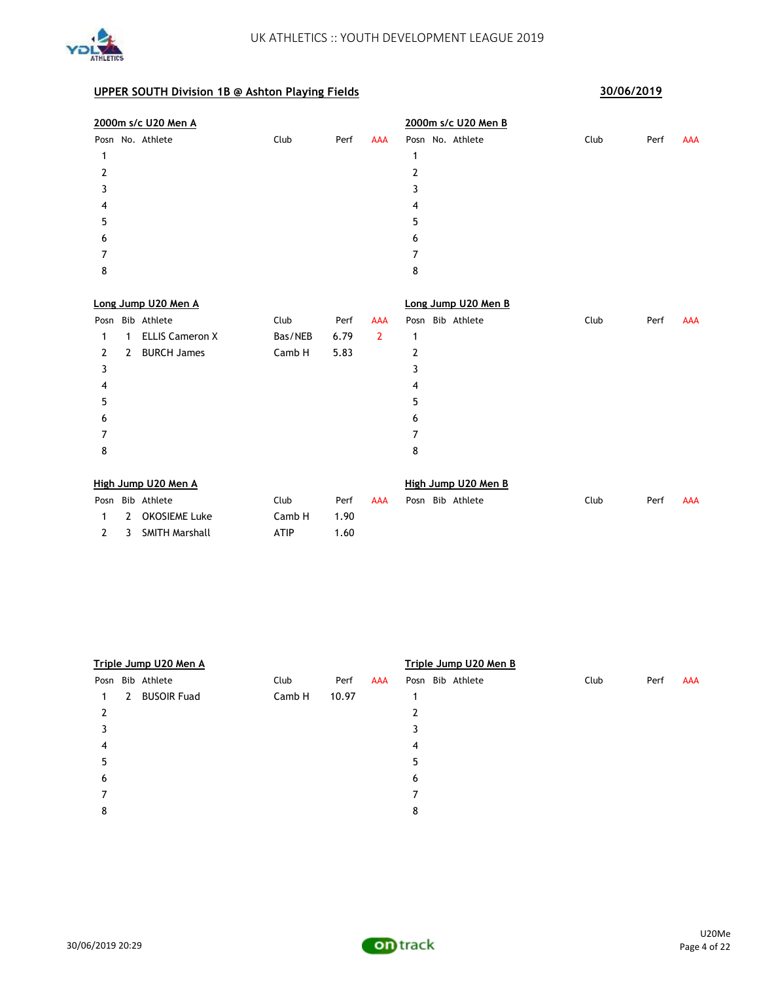

| 2000m s/c U20 Men A |      |      |            | 2000m s/c U20 Men B |      |      |     |
|---------------------|------|------|------------|---------------------|------|------|-----|
| Posn No. Athlete    | Club | Perf | <b>AAA</b> | Posn No. Athlete    | Club | Perf | AAA |
|                     |      |      |            |                     |      |      |     |
|                     |      |      |            |                     |      |      |     |
|                     |      |      |            |                     |      |      |     |
| 4                   |      |      |            | 4                   |      |      |     |
| 5                   |      |      |            | 5                   |      |      |     |
| 6                   |      |      |            | 6                   |      |      |     |
|                     |      |      |            |                     |      |      |     |
| 8                   |      |      |            | 8                   |      |      |     |

|      |   | Long Jump U20 Men A    |         |      |     |   | Long Jump U20 Men B |      |      |     |
|------|---|------------------------|---------|------|-----|---|---------------------|------|------|-----|
| Posn |   | Bib Athlete            | Club    | Perf | AAA |   | Posn Bib Athlete    | Club | Perf | AAA |
| 1    | 1 | <b>ELLIS Cameron X</b> | Bas/NEB | 6.79 | 2   | 1 |                     |      |      |     |
| 2    | 2 | <b>BURCH James</b>     | Camb H  | 5.83 |     | 2 |                     |      |      |     |
| 3    |   |                        |         |      |     | 3 |                     |      |      |     |
| 4    |   |                        |         |      |     | 4 |                     |      |      |     |
| 5    |   |                        |         |      |     | 5 |                     |      |      |     |
| 6    |   |                        |         |      |     | 6 |                     |      |      |     |
|      |   |                        |         |      |     |   |                     |      |      |     |
| 8    |   |                        |         |      |     | 8 |                     |      |      |     |
|      |   |                        |         |      |     |   |                     |      |      |     |
|      |   |                        |         |      |     |   |                     |      |      |     |

| High Jump U20 Men A |                    |        |      |     |  | High Jump U20 Men B |                  |      |      |     |  |  |
|---------------------|--------------------|--------|------|-----|--|---------------------|------------------|------|------|-----|--|--|
|                     | Posn Bib Athlete   | Club   | Perf | AAA |  |                     | Posn Bib Athlete | Club | Perf | AAA |  |  |
|                     | 1 2 OKOSIEME Luke  | Camb H | 1.90 |     |  |                     |                  |      |      |     |  |  |
|                     | 2 3 SMITH Marshall | ATIP   | 1.60 |     |  |                     |                  |      |      |     |  |  |

|      |   | Triple Jump U20 Men A |        |       |     |        |  | Triple Jump U20 Men B |      |      |            |
|------|---|-----------------------|--------|-------|-----|--------|--|-----------------------|------|------|------------|
| Posn |   | Bib Athlete           | Club   | Perf  | AAA |        |  | Posn Bib Athlete      | Club | Perf | <b>AAA</b> |
| 1    | 2 | <b>BUSOIR Fuad</b>    | Camb H | 10.97 |     |        |  |                       |      |      |            |
| 2    |   |                       |        |       |     | າ<br>L |  |                       |      |      |            |
| 3    |   |                       |        |       |     | 3      |  |                       |      |      |            |
| 4    |   |                       |        |       |     | 4      |  |                       |      |      |            |
| 5    |   |                       |        |       |     | 5      |  |                       |      |      |            |
| 6    |   |                       |        |       |     | 6      |  |                       |      |      |            |
|      |   |                       |        |       |     | ┓      |  |                       |      |      |            |
| 8    |   |                       |        |       |     | 8      |  |                       |      |      |            |
|      |   |                       |        |       |     |        |  |                       |      |      |            |

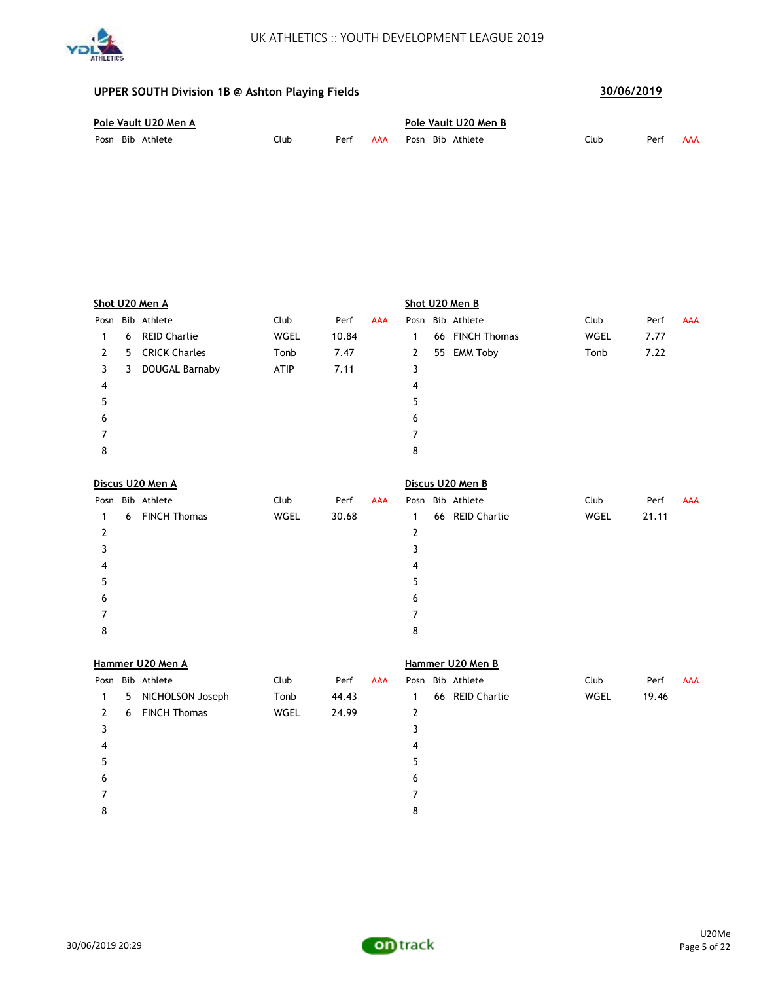

| Pole Vault U20 Men A |      | Pole Vault U20 Men B |     |                  |      |      |     |
|----------------------|------|----------------------|-----|------------------|------|------|-----|
| Posn Bib Athlete     | Club | Perf                 | AAA | Posn Bib Athlete | Club | Perf | AAA |

| Posn Bib Athlete<br>Bib Athlete<br>Club<br><b>AAA</b><br>Club<br>Perf<br>Perf<br>Posn<br><b>REID Charlie</b><br><b>WGEL</b><br>10.84<br>66 FINCH Thomas<br><b>WGEL</b><br>7.77<br>6<br>$\mathbf{1}$<br>1<br><b>CRICK Charles</b><br>55 EMM Toby<br>7.22<br>Tonb<br>7.47<br>Tonb<br>$\mathbf{2}$<br>$\mathbf{2}$<br>5<br><b>DOUGAL Barnaby</b><br>ATIP<br>7.11<br>3<br>3<br>3<br>4<br>4<br>5<br>5<br>6<br>6 | <b>AAA</b> |  |  |  |  |  |  |
|------------------------------------------------------------------------------------------------------------------------------------------------------------------------------------------------------------------------------------------------------------------------------------------------------------------------------------------------------------------------------------------------------------|------------|--|--|--|--|--|--|
|                                                                                                                                                                                                                                                                                                                                                                                                            |            |  |  |  |  |  |  |
|                                                                                                                                                                                                                                                                                                                                                                                                            |            |  |  |  |  |  |  |
|                                                                                                                                                                                                                                                                                                                                                                                                            |            |  |  |  |  |  |  |
|                                                                                                                                                                                                                                                                                                                                                                                                            |            |  |  |  |  |  |  |
|                                                                                                                                                                                                                                                                                                                                                                                                            |            |  |  |  |  |  |  |
|                                                                                                                                                                                                                                                                                                                                                                                                            |            |  |  |  |  |  |  |
|                                                                                                                                                                                                                                                                                                                                                                                                            |            |  |  |  |  |  |  |
| 7<br>7                                                                                                                                                                                                                                                                                                                                                                                                     |            |  |  |  |  |  |  |
| 8<br>8                                                                                                                                                                                                                                                                                                                                                                                                     |            |  |  |  |  |  |  |
|                                                                                                                                                                                                                                                                                                                                                                                                            |            |  |  |  |  |  |  |
| Discus U20 Men A<br>Discus U20 Men B                                                                                                                                                                                                                                                                                                                                                                       |            |  |  |  |  |  |  |
| Bib Athlete<br>Club<br>Posn Bib Athlete<br>Club<br>Perf<br><b>AAA</b><br>Perf<br>Posn                                                                                                                                                                                                                                                                                                                      | <b>AAA</b> |  |  |  |  |  |  |
| <b>FINCH Thomas</b><br>66 REID Charlie<br>WGEL<br>WGEL<br>30.68<br>21.11<br>6<br>1<br>1                                                                                                                                                                                                                                                                                                                    |            |  |  |  |  |  |  |
| $\overline{2}$<br>2                                                                                                                                                                                                                                                                                                                                                                                        |            |  |  |  |  |  |  |
| 3<br>3                                                                                                                                                                                                                                                                                                                                                                                                     |            |  |  |  |  |  |  |
| 4<br>4                                                                                                                                                                                                                                                                                                                                                                                                     |            |  |  |  |  |  |  |
| 5<br>5                                                                                                                                                                                                                                                                                                                                                                                                     |            |  |  |  |  |  |  |
| 6<br>6                                                                                                                                                                                                                                                                                                                                                                                                     |            |  |  |  |  |  |  |
| 7<br>7                                                                                                                                                                                                                                                                                                                                                                                                     |            |  |  |  |  |  |  |
| 8<br>8                                                                                                                                                                                                                                                                                                                                                                                                     |            |  |  |  |  |  |  |

|   | Hammer U20 Men A |                     |      |       |     |   |  | Hammer U20 Men B |      |       |     |  |  |  |
|---|------------------|---------------------|------|-------|-----|---|--|------------------|------|-------|-----|--|--|--|
|   |                  | Posn Bib Athlete    | Club | Perf  | AAA |   |  | Posn Bib Athlete | Club | Perf  | AAA |  |  |  |
| 1 | 5                | NICHOLSON Joseph    | Tonb | 44.43 |     |   |  | 66 REID Charlie  | WGEL | 19.46 |     |  |  |  |
| 2 | 6                | <b>FINCH Thomas</b> | WGEL | 24.99 |     | 2 |  |                  |      |       |     |  |  |  |
| 3 |                  |                     |      |       |     |   |  |                  |      |       |     |  |  |  |
| 4 |                  |                     |      |       |     | 4 |  |                  |      |       |     |  |  |  |
| 5 |                  |                     |      |       |     | 5 |  |                  |      |       |     |  |  |  |
| 6 |                  |                     |      |       |     | 6 |  |                  |      |       |     |  |  |  |
|   |                  |                     |      |       |     |   |  |                  |      |       |     |  |  |  |
| 8 |                  |                     |      |       |     | 8 |  |                  |      |       |     |  |  |  |
|   |                  |                     |      |       |     |   |  |                  |      |       |     |  |  |  |

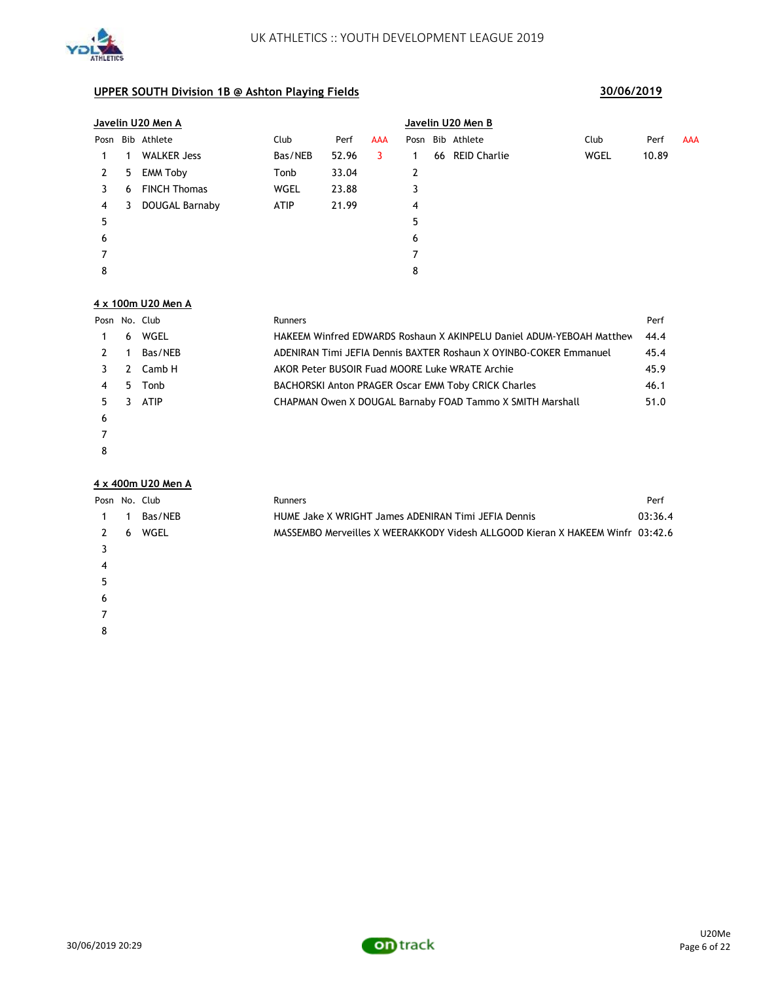

|   |    | Javelin U20 Men A   |         |       |            | Javelin U20 Men B |  |                  |      |       |            |  |
|---|----|---------------------|---------|-------|------------|-------------------|--|------------------|------|-------|------------|--|
|   |    | Posn Bib Athlete    | Club    | Perf  | <b>AAA</b> |                   |  | Posn Bib Athlete | Club | Perf  | <b>AAA</b> |  |
| 1 |    | <b>WALKER Jess</b>  | Bas/NEB | 52.96 | 3.         |                   |  | 66 REID Charlie  | WGEL | 10.89 |            |  |
| 2 | 5. | <b>EMM Toby</b>     | Tonb    | 33.04 |            | 2                 |  |                  |      |       |            |  |
| 3 | 6  | <b>FINCH Thomas</b> | WGEL    | 23.88 |            | 3                 |  |                  |      |       |            |  |
| 4 | 3  | DOUGAL Barnaby      | ATIP    | 21.99 |            | 4                 |  |                  |      |       |            |  |
| 5 |    |                     |         |       |            | 5                 |  |                  |      |       |            |  |
| 6 |    |                     |         |       |            | 6                 |  |                  |      |       |            |  |
|   |    |                     |         |       |            |                   |  |                  |      |       |            |  |
| 8 |    |                     |         |       |            | 8                 |  |                  |      |       |            |  |

### **4 x 100m U20 Men A**

| Posn No. Club |   |             | <b>Runners</b>                                                       | Perf |
|---------------|---|-------------|----------------------------------------------------------------------|------|
|               | 6 | WGEL        | HAKEEM Winfred EDWARDS Roshaun X AKINPELU Daniel ADUM-YEBOAH Matthew | 44.4 |
|               |   | Bas/NEB     | ADENIRAN Timi JEFIA Dennis BAXTER Roshaun X OYINBO-COKER Emmanuel    | 45.4 |
|               | 2 | Camb H      | AKOR Peter BUSOIR Fuad MOORE Luke WRATE Archie                       | 45.9 |
|               | 5 | Tonb        | <b>BACHORSKI Anton PRAGER Oscar EMM Toby CRICK Charles</b>           | 46.1 |
| 5.            |   | <b>ATIP</b> | CHAPMAN Owen X DOUGAL Barnaby FOAD Tammo X SMITH Marshall            | 51.0 |
| 6             |   |             |                                                                      |      |
|               |   |             |                                                                      |      |

### **4 x 400m U20 Men A**

 

| Posn No. Club |   |         | Runners                                                                       | Perf    |
|---------------|---|---------|-------------------------------------------------------------------------------|---------|
|               |   | Bas/NEB | HUME Jake X WRIGHT James ADENIRAN Timi JEFIA Dennis                           | 03:36.4 |
| $\mathcal{L}$ | 6 | WGEL    | MASSEMBO Merveilles X WEERAKKODY Videsh ALLGOOD Kieran X HAKEEM Winfr 03:42.6 |         |
|               |   |         |                                                                               |         |
| 4             |   |         |                                                                               |         |
|               |   |         |                                                                               |         |
|               |   |         |                                                                               |         |

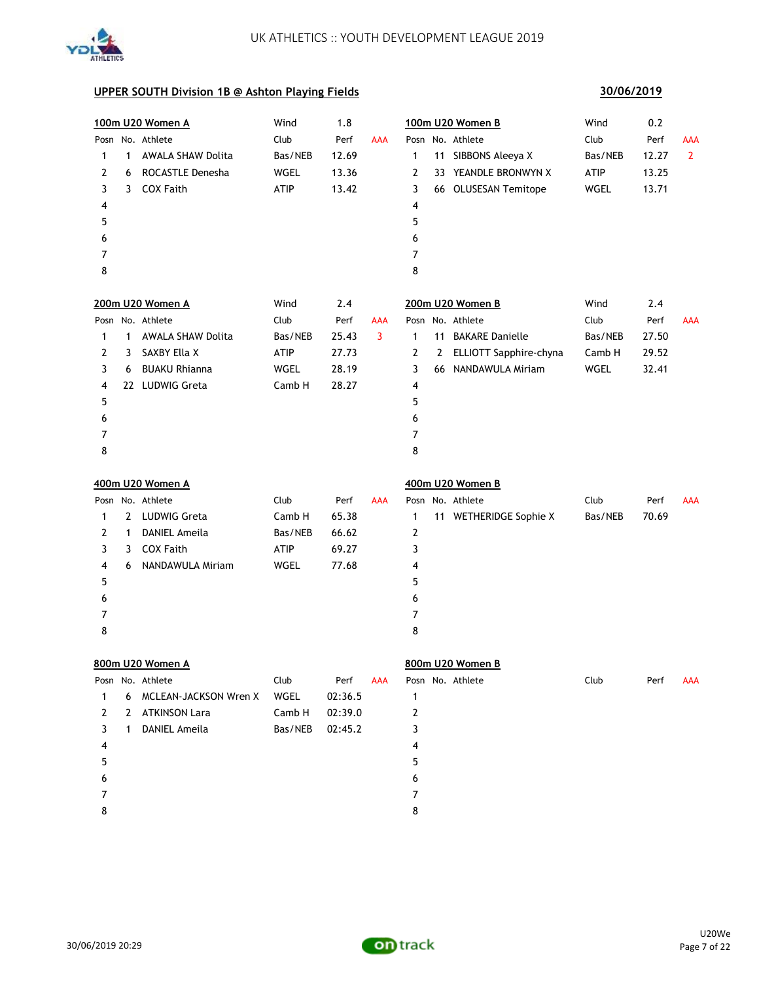

## **30/06/2019**

|   |              | 100m U20 Women A         | Wind    | 1.8     |            | 100m U20 Women B                       | Wind<br>0.2                        |
|---|--------------|--------------------------|---------|---------|------------|----------------------------------------|------------------------------------|
|   |              | Posn No. Athlete         | Club    | Perf    | <b>AAA</b> | Posn No. Athlete                       | Club<br>Perf<br>AAA                |
| 1 | $\mathbf{1}$ | <b>AWALA SHAW Dolita</b> | Bas/NEB | 12.69   |            | 11 SIBBONS Aleeya X<br>1               | 12.27<br>$\overline{2}$<br>Bas/NEB |
| 2 | 6            | ROCASTLE Denesha         | WGEL    | 13.36   |            | $\overline{2}$<br>33 YEANDLE BRONWYN X | ATIP<br>13.25                      |
| 3 | 3            | <b>COX Faith</b>         | ATIP    | 13.42   |            | 3<br>66 OLUSESAN Temitope              | WGEL<br>13.71                      |
| 4 |              |                          |         |         |            | 4                                      |                                    |
| 5 |              |                          |         |         |            | 5                                      |                                    |
| 6 |              |                          |         |         |            | 6                                      |                                    |
| 7 |              |                          |         |         |            | 7                                      |                                    |
| 8 |              |                          |         |         |            | 8                                      |                                    |
|   |              | 200m U20 Women A         | Wind    | 2.4     |            | 200m U20 Women B                       | Wind<br>2.4                        |
|   |              | Posn No. Athlete         | Club    | Perf    | <b>AAA</b> | Posn No. Athlete                       | Club<br>Perf<br>AAA                |
| 1 | $\mathbf{1}$ | AWALA SHAW Dolita        | Bas/NEB | 25.43   | 3          | 11 BAKARE Danielle<br>1                | Bas/NEB<br>27.50                   |
| 2 | 3            | SAXBY Ella X             | ATIP    | 27.73   |            | 2<br>ELLIOTT Sapphire-chyna<br>2       | Camb H<br>29.52                    |
| 3 | 6            | <b>BUAKU Rhianna</b>     | WGEL    | 28.19   |            | 3<br>66 NANDAWULA Miriam               | WGEL<br>32.41                      |
| 4 |              | 22 LUDWIG Greta          | Camb H  | 28.27   |            | 4                                      |                                    |
| 5 |              |                          |         |         |            | 5                                      |                                    |
| 6 |              |                          |         |         |            | 6                                      |                                    |
| 7 |              |                          |         |         |            | 7                                      |                                    |
| 8 |              |                          |         |         |            | 8                                      |                                    |
|   |              | 400m U20 Women A         |         |         |            | 400m U20 Women B                       |                                    |
|   |              | Posn No. Athlete         | Club    | Perf    | <b>AAA</b> | Posn No. Athlete                       | Club<br>Perf<br><b>AAA</b>         |
| 1 | 2            | LUDWIG Greta             | Camb H  | 65.38   |            | 11 WETHERIDGE Sophie X<br>1            | Bas/NEB<br>70.69                   |
| 2 | 1            | DANIEL Ameila            | Bas/NEB | 66.62   |            | 2                                      |                                    |
| 3 | 3            | <b>COX Faith</b>         | ATIP    | 69.27   |            | 3                                      |                                    |
| 4 | 6            | NANDAWULA Miriam         | WGEL    | 77.68   |            | 4                                      |                                    |
| 5 |              |                          |         |         |            | 5                                      |                                    |
| 6 |              |                          |         |         |            | 6                                      |                                    |
| 7 |              |                          |         |         |            | 7                                      |                                    |
| 8 |              |                          |         |         |            | 8                                      |                                    |
|   |              | 800m U20 Women A         |         |         |            | 800m U20 Women B                       |                                    |
|   |              | Posn No. Athlete         | Club    | Perf    | <b>AAA</b> | Posn No. Athlete                       | Club<br>Perf<br>AAA                |
| 1 | 6            | MCLEAN-JACKSON Wren X    | WGEL    | 02:36.5 |            | 1                                      |                                    |
| 2 | 2            | ATKINSON Lara            | Camb H  | 02:39.0 |            | 2                                      |                                    |
| 3 | $\mathbf{1}$ | DANIEL Ameila            | Bas/NEB | 02:45.2 |            | 3                                      |                                    |
| 4 |              |                          |         |         |            | 4                                      |                                    |
| 5 |              |                          |         |         |            | 5                                      |                                    |
| 6 |              |                          |         |         |            | 6                                      |                                    |
| 7 |              |                          |         |         |            | 7                                      |                                    |
| 8 |              |                          |         |         |            | 8                                      |                                    |

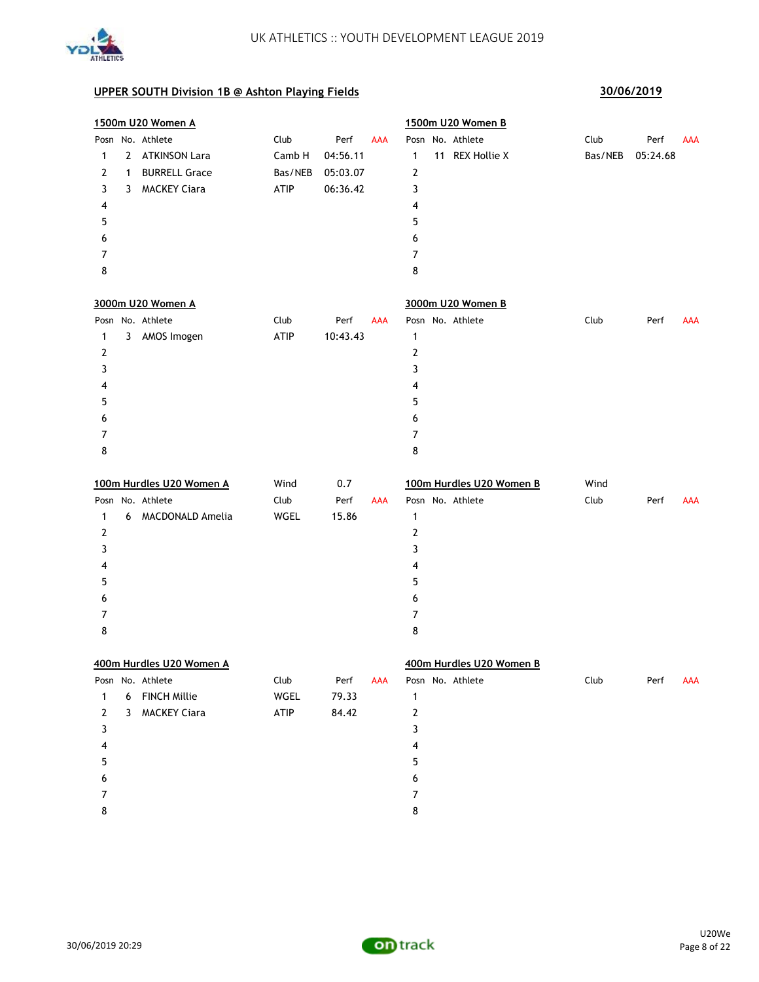

|   |   | 1500m U20 Women A        |             |          |            | 1500m U20 Women B        |         |          |            |
|---|---|--------------------------|-------------|----------|------------|--------------------------|---------|----------|------------|
|   |   | Posn No. Athlete         | Club        | Perf     | <b>AAA</b> | Posn No. Athlete         | Club    | Perf     | <b>AAA</b> |
| 1 |   | 2 ATKINSON Lara          | Camb H      | 04:56.11 |            | 11 REX Hollie X<br>1     | Bas/NEB | 05:24.68 |            |
| 2 | 1 | <b>BURRELL Grace</b>     | Bas/NEB     | 05:03.07 |            | 2                        |         |          |            |
| 3 | 3 | <b>MACKEY Ciara</b>      | <b>ATIP</b> | 06:36.42 |            | 3                        |         |          |            |
| 4 |   |                          |             |          |            | 4                        |         |          |            |
| 5 |   |                          |             |          |            | 5                        |         |          |            |
| 6 |   |                          |             |          |            | 6                        |         |          |            |
| 7 |   |                          |             |          |            | 7                        |         |          |            |
| 8 |   |                          |             |          |            | 8                        |         |          |            |
|   |   | 3000m U20 Women A        |             |          |            | 3000m U20 Women B        |         |          |            |
|   |   | Posn No. Athlete         | Club        | Perf     | <b>AAA</b> | Posn No. Athlete         | Club    | Perf     | <b>AAA</b> |
| 1 |   | 3 AMOS Imogen            | <b>ATIP</b> | 10:43.43 |            | 1                        |         |          |            |
| 2 |   |                          |             |          |            | 2                        |         |          |            |
| 3 |   |                          |             |          |            | 3                        |         |          |            |
| 4 |   |                          |             |          |            | 4                        |         |          |            |
| 5 |   |                          |             |          |            | 5                        |         |          |            |
| 6 |   |                          |             |          |            | 6                        |         |          |            |
| 7 |   |                          |             |          |            | 7                        |         |          |            |
| 8 |   |                          |             |          |            | 8                        |         |          |            |
|   |   | 100m Hurdles U20 Women A | Wind        | 0.7      |            | 100m Hurdles U20 Women B | Wind    |          |            |
|   |   | Posn No. Athlete         | Club        | Perf     | AAA        | Posn No. Athlete         | Club    | Perf     | <b>AAA</b> |
| 1 | 6 | MACDONALD Amelia         | WGEL        | 15.86    |            | 1                        |         |          |            |
| 2 |   |                          |             |          |            | 2                        |         |          |            |
| 3 |   |                          |             |          |            | 3                        |         |          |            |
| 4 |   |                          |             |          |            | 4                        |         |          |            |
| 5 |   |                          |             |          |            | 5                        |         |          |            |
| 6 |   |                          |             |          |            | 6                        |         |          |            |
| 7 |   |                          |             |          |            | 7                        |         |          |            |
| 8 |   |                          |             |          |            | 8                        |         |          |            |
|   |   | 400m Hurdles U20 Women A |             |          |            | 400m Hurdles U20 Women B |         |          |            |
|   |   | Posn No. Athlete         | Club        | Perf     | <b>AAA</b> | Posn No. Athlete         | Club    | Perf     | AAA        |
| 1 | 6 | <b>FINCH Millie</b>      | WGEL        | 79.33    |            | 1                        |         |          |            |
| 2 |   | 3 MACKEY Ciara           | ATIP        | 84.42    |            | 2                        |         |          |            |
| 3 |   |                          |             |          |            | 3                        |         |          |            |
| 4 |   |                          |             |          |            | 4                        |         |          |            |
| 5 |   |                          |             |          |            | 5                        |         |          |            |
| 6 |   |                          |             |          |            | 6                        |         |          |            |
| 7 |   |                          |             |          |            | 7                        |         |          |            |
| 8 |   |                          |             |          |            | 8                        |         |          |            |

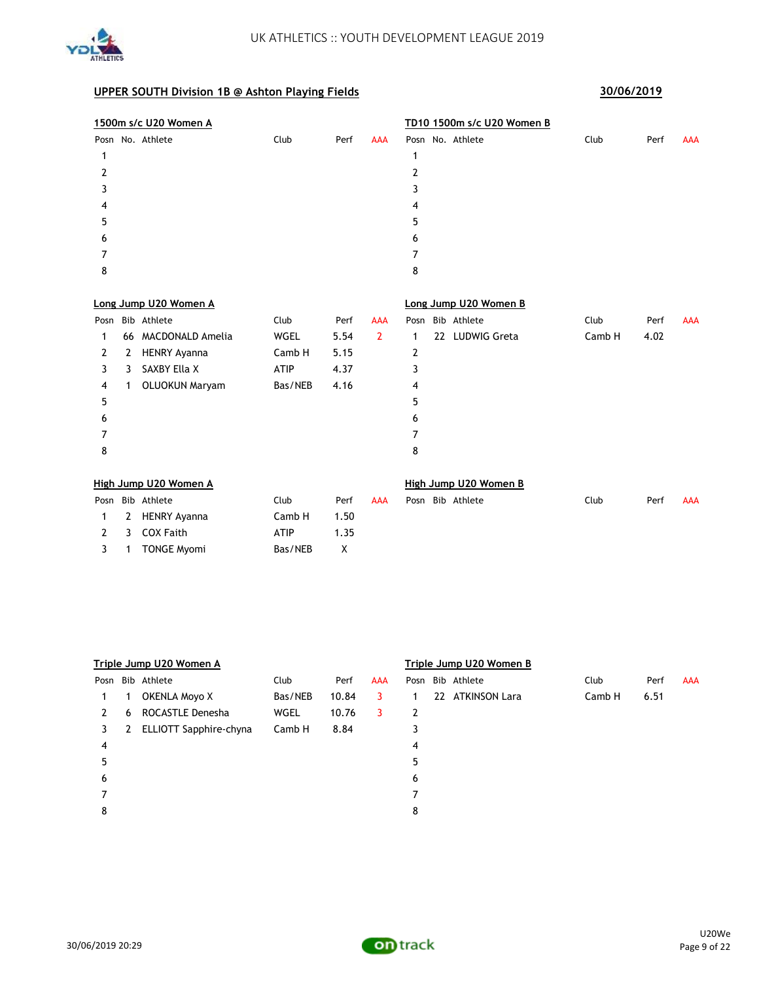

|   |    | 1500m s/c U20 Women A   |             |      |                | TD10 1500m s/c U20 Women B |        |      |            |
|---|----|-------------------------|-------------|------|----------------|----------------------------|--------|------|------------|
|   |    | Posn No. Athlete        | Club        | Perf | <b>AAA</b>     | Posn No. Athlete           | Club   | Perf | <b>AAA</b> |
| 1 |    |                         |             |      |                | 1                          |        |      |            |
| 2 |    |                         |             |      |                | 2                          |        |      |            |
| 3 |    |                         |             |      |                | 3                          |        |      |            |
| 4 |    |                         |             |      |                | 4                          |        |      |            |
| 5 |    |                         |             |      |                | 5                          |        |      |            |
| 6 |    |                         |             |      |                | 6                          |        |      |            |
| 7 |    |                         |             |      |                | 7                          |        |      |            |
| 8 |    |                         |             |      |                | 8                          |        |      |            |
|   |    |                         |             |      |                |                            |        |      |            |
|   |    | Long Jump U20 Women A   |             |      |                | Long Jump U20 Women B      |        |      |            |
|   |    | Posn Bib Athlete        | Club        | Perf | AAA            | Posn Bib Athlete           | Club   | Perf | <b>AAA</b> |
| 1 | 66 | <b>MACDONALD Amelia</b> | WGEL        | 5.54 | $\overline{2}$ | LUDWIG Greta<br>22<br>1    | Camb H | 4.02 |            |
| 2 | 2  | <b>HENRY Ayanna</b>     | Camb H      | 5.15 |                | 2                          |        |      |            |
| 3 | 3  | SAXBY Ella X            | <b>ATIP</b> | 4.37 |                | 3                          |        |      |            |
| 4 | 1  | <b>OLUOKUN Maryam</b>   | Bas/NEB     | 4.16 |                | 4                          |        |      |            |
| 5 |    |                         |             |      |                | 5                          |        |      |            |
| 6 |    |                         |             |      |                | 6                          |        |      |            |
| 7 |    |                         |             |      |                | 7                          |        |      |            |
| 8 |    |                         |             |      |                | 8                          |        |      |            |
|   |    | High Jump U20 Women A   |             |      |                | High Jump U20 Women B      |        |      |            |
|   |    | Posn Bib Athlete        | Club        | Perf | <b>AAA</b>     | Posn Bib Athlete           | Club   | Perf | <b>AAA</b> |
| 1 | 2  | <b>HENRY Ayanna</b>     | Camb H      | 1.50 |                |                            |        |      |            |
| 2 | 3  | <b>COX Faith</b>        | <b>ATIP</b> | 1.35 |                |                            |        |      |            |
| 3 | 1  | <b>TONGE Myomi</b>      | Bas/NEB     | Χ    |                |                            |        |      |            |

|      | Triple Jump U20 Women A |                        |         |       |                         |   | Triple Jump U20 Women B |                  |        |      |            |  |  |
|------|-------------------------|------------------------|---------|-------|-------------------------|---|-------------------------|------------------|--------|------|------------|--|--|
| Posn |                         | Bib Athlete            | Club    | Perf  | <b>AAA</b>              |   |                         | Posn Bib Athlete | Club   | Perf | <b>AAA</b> |  |  |
| 1    |                         | <b>OKENLA Movo X</b>   | Bas/NEB | 10.84 | 3                       |   | 22                      | ATKINSON Lara    | Camb H | 6.51 |            |  |  |
| 2    | 6                       | ROCASTLE Denesha       | WGEL    | 10.76 | $\overline{\mathbf{3}}$ | 2 |                         |                  |        |      |            |  |  |
| 3    | 2                       | ELLIOTT Sapphire-chyna | Camb H  | 8.84  |                         | 3 |                         |                  |        |      |            |  |  |
| 4    |                         |                        |         |       |                         | 4 |                         |                  |        |      |            |  |  |
| 5    |                         |                        |         |       |                         | 5 |                         |                  |        |      |            |  |  |
| 6    |                         |                        |         |       |                         | 6 |                         |                  |        |      |            |  |  |
|      |                         |                        |         |       |                         |   |                         |                  |        |      |            |  |  |
| 8    |                         |                        |         |       |                         | 8 |                         |                  |        |      |            |  |  |
|      |                         |                        |         |       |                         |   |                         |                  |        |      |            |  |  |

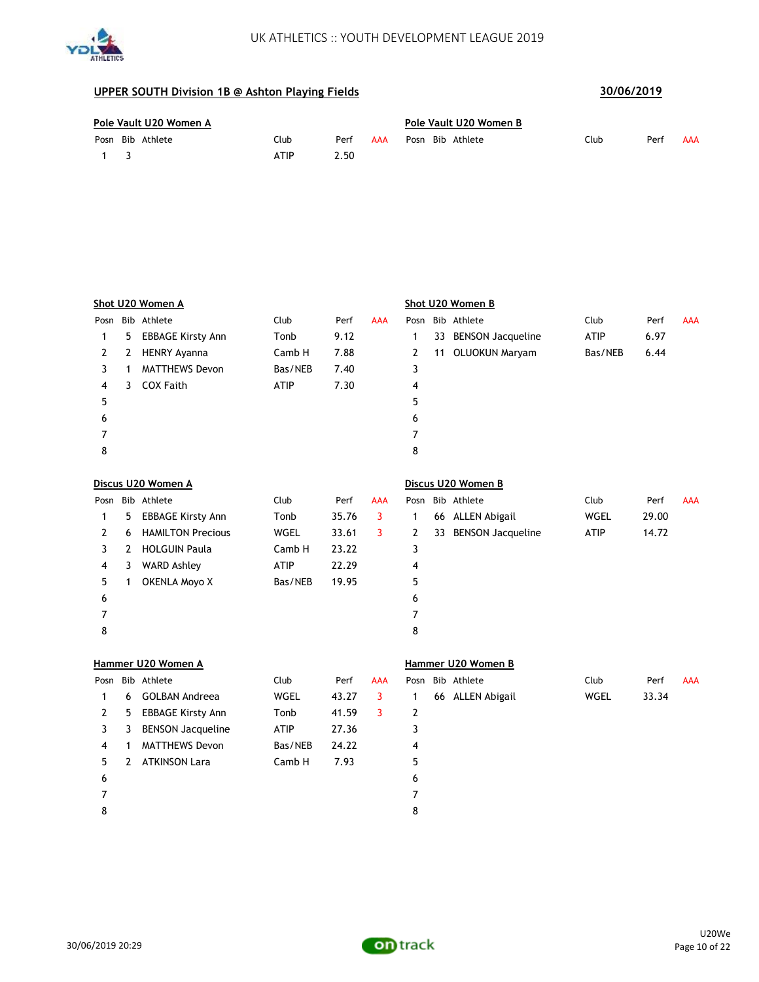

|                 | Pole Vault U20 Women A |      |      | Pole Vault U20 Women B |                  |      |      |     |  |
|-----------------|------------------------|------|------|------------------------|------------------|------|------|-----|--|
|                 | Posn Bib Athlete       | Club | Perf | AAA                    | Posn Bib Athlete | Club | Perf | AAA |  |
| $\sim$ 1 $\sim$ |                        | ATIP | 2.50 |                        |                  |      |      |     |  |

|      | Shot U20 Women A |                          |             |       |            |              |    | Shot U20 Women B         |             |       |            |  |  |  |
|------|------------------|--------------------------|-------------|-------|------------|--------------|----|--------------------------|-------------|-------|------------|--|--|--|
| Posn |                  | Bib Athlete              | Club        | Perf  | <b>AAA</b> | Posn         |    | Bib Athlete              | Club        | Perf  | <b>AAA</b> |  |  |  |
| 1    | 5                | <b>EBBAGE Kirsty Ann</b> | Tonb        | 9.12  |            | 1            | 33 | <b>BENSON Jacqueline</b> | ATIP        | 6.97  |            |  |  |  |
| 2    | 2                | <b>HENRY Ayanna</b>      | Camb H      | 7.88  |            | 2            | 11 | <b>OLUOKUN Maryam</b>    | Bas/NEB     | 6.44  |            |  |  |  |
| 3    | 1                | <b>MATTHEWS Devon</b>    | Bas/NEB     | 7.40  |            | 3            |    |                          |             |       |            |  |  |  |
| 4    | 3                | <b>COX Faith</b>         | <b>ATIP</b> | 7.30  |            | 4            |    |                          |             |       |            |  |  |  |
| 5    |                  |                          |             |       |            | 5            |    |                          |             |       |            |  |  |  |
| 6    |                  |                          |             |       |            | 6            |    |                          |             |       |            |  |  |  |
| 7    |                  |                          |             |       |            | 7            |    |                          |             |       |            |  |  |  |
| 8    |                  |                          |             |       |            | 8            |    |                          |             |       |            |  |  |  |
|      |                  | Discus U20 Women A       |             |       |            |              |    | Discus U20 Women B       |             |       |            |  |  |  |
|      |                  |                          |             |       |            |              |    |                          |             |       |            |  |  |  |
| Posn |                  | Bib Athlete              | Club        | Perf  | <b>AAA</b> | Posn         |    | Bib Athlete              | Club        | Perf  | <b>AAA</b> |  |  |  |
| 1    | 5                | <b>EBBAGE Kirsty Ann</b> | Tonb        | 35.76 | 3          | 1            |    | 66 ALLEN Abigail         | <b>WGEL</b> | 29.00 |            |  |  |  |
| 2    | 6                | <b>HAMILTON Precious</b> | WGEL        | 33.61 | 3          | $\mathbf{2}$ | 33 | <b>BENSON Jacqueline</b> | <b>ATIP</b> | 14.72 |            |  |  |  |
| 3    | 2                | <b>HOLGUIN Paula</b>     | Camb H      | 23.22 |            | 3            |    |                          |             |       |            |  |  |  |
| 4    | 3                | <b>WARD Ashley</b>       | <b>ATIP</b> | 22.29 |            | 4            |    |                          |             |       |            |  |  |  |
| 5    | 1                | <b>OKENLA Moyo X</b>     | Bas/NEB     | 19.95 |            | 5            |    |                          |             |       |            |  |  |  |
| 6    |                  |                          |             |       |            | 6            |    |                          |             |       |            |  |  |  |
| 7    |                  |                          |             |       |            | 7            |    |                          |             |       |            |  |  |  |
| 8    |                  |                          |             |       |            | 8            |    |                          |             |       |            |  |  |  |
|      |                  |                          |             |       |            |              |    |                          |             |       |            |  |  |  |

| Posn |   | Bib Athlete              | Club        | Perf  | <b>AAA</b> |   |    | Posn Bib Athlete | Club | Perf  | AAA |
|------|---|--------------------------|-------------|-------|------------|---|----|------------------|------|-------|-----|
|      | 6 | <b>GOLBAN Andreea</b>    | WGEL        | 43.27 | 3          |   | 66 | ALLEN Abigail    | WGEL | 33.34 |     |
| 2    | 5 | <b>EBBAGE Kirsty Ann</b> | Tonb        | 41.59 | 3          | 2 |    |                  |      |       |     |
| 3    | 3 | <b>BENSON Jacqueline</b> | <b>ATIP</b> | 27.36 |            | 3 |    |                  |      |       |     |
| 4    |   | <b>MATTHEWS Devon</b>    | Bas/NEB     | 24.22 |            | 4 |    |                  |      |       |     |
| 5.   |   | <b>ATKINSON Lara</b>     | Camb H      | 7.93  |            | 5 |    |                  |      |       |     |
| 6    |   |                          |             |       |            | 6 |    |                  |      |       |     |
|      |   |                          |             |       |            |   |    |                  |      |       |     |
| 8    |   |                          |             |       |            | 8 |    |                  |      |       |     |
|      |   |                          |             |       |            |   |    |                  |      |       |     |



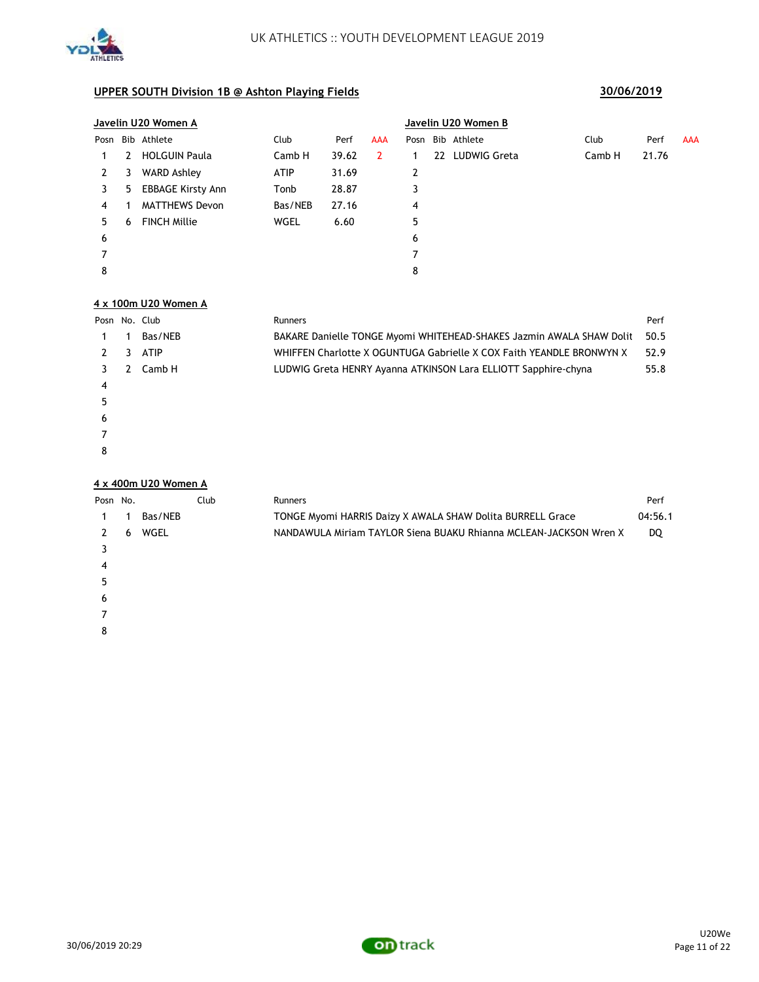

|      | Javelin U20 Women A |                          |             |       |     |      | Javelin U20 Women B |                 |        |       |            |  |  |  |
|------|---------------------|--------------------------|-------------|-------|-----|------|---------------------|-----------------|--------|-------|------------|--|--|--|
| Posn |                     | Bib Athlete              | Club        | Perf  | AAA | Posn |                     | Bib Athlete     | Club   | Perf  | <b>AAA</b> |  |  |  |
|      | 2                   | <b>HOLGUIN Paula</b>     | Camb H      | 39.62 | 2   |      |                     | 22 LUDWIG Greta | Camb H | 21.76 |            |  |  |  |
| 2    | 3                   | <b>WARD Ashley</b>       | <b>ATIP</b> | 31.69 |     | 2    |                     |                 |        |       |            |  |  |  |
| 3    | 5.                  | <b>EBBAGE Kirsty Ann</b> | Tonb        | 28.87 |     | 3    |                     |                 |        |       |            |  |  |  |
| 4    |                     | <b>MATTHEWS Devon</b>    | Bas/NEB     | 27.16 |     | 4    |                     |                 |        |       |            |  |  |  |
| 5.   | 6                   | <b>FINCH Millie</b>      | WGEL        | 6.60  |     | 5    |                     |                 |        |       |            |  |  |  |
| 6    |                     |                          |             |       |     | 6    |                     |                 |        |       |            |  |  |  |
|      |                     |                          |             |       |     |      |                     |                 |        |       |            |  |  |  |
| 8    |                     |                          |             |       |     | 8    |                     |                 |        |       |            |  |  |  |

### **4 x 100m U20 Women A**

| Posn No. Club |   |                      | Runners                                                              | Perf |
|---------------|---|----------------------|----------------------------------------------------------------------|------|
|               |   | Bas/NEB              | BAKARE Danielle TONGE Myomi WHITEHEAD-SHAKES Jazmin AWALA SHAW Dolit | 50.5 |
| 2             | 3 | <b>ATIP</b>          | WHIFFEN Charlotte X OGUNTUGA Gabrielle X COX Faith YEANDLE BRONWYN X | 52.9 |
| 3.            | 2 | Camb H               | LUDWIG Greta HENRY Ayanna ATKINSON Lara ELLIOTT Sapphire-chyna       | 55.8 |
| 4             |   |                      |                                                                      |      |
| 5             |   |                      |                                                                      |      |
| 6             |   |                      |                                                                      |      |
|               |   |                      |                                                                      |      |
| 8             |   |                      |                                                                      |      |
|               |   |                      |                                                                      |      |
|               |   | 4 x 400m U20 Women A |                                                                      |      |

| Posn No. |   |         | Club | <b>Runners</b>                                                    | Perf    |
|----------|---|---------|------|-------------------------------------------------------------------|---------|
|          |   | Bas/NEB |      | TONGE Myomi HARRIS Daizy X AWALA SHAW Dolita BURRELL Grace        | 04:56.1 |
| 2        | 6 | WGEL    |      | NANDAWULA Miriam TAYLOR Siena BUAKU Rhianna MCLEAN-JACKSON Wren X | DQ      |
|          |   |         |      |                                                                   |         |
| 4        |   |         |      |                                                                   |         |
| 5        |   |         |      |                                                                   |         |
| 6        |   |         |      |                                                                   |         |
|          |   |         |      |                                                                   |         |
| 8        |   |         |      |                                                                   |         |

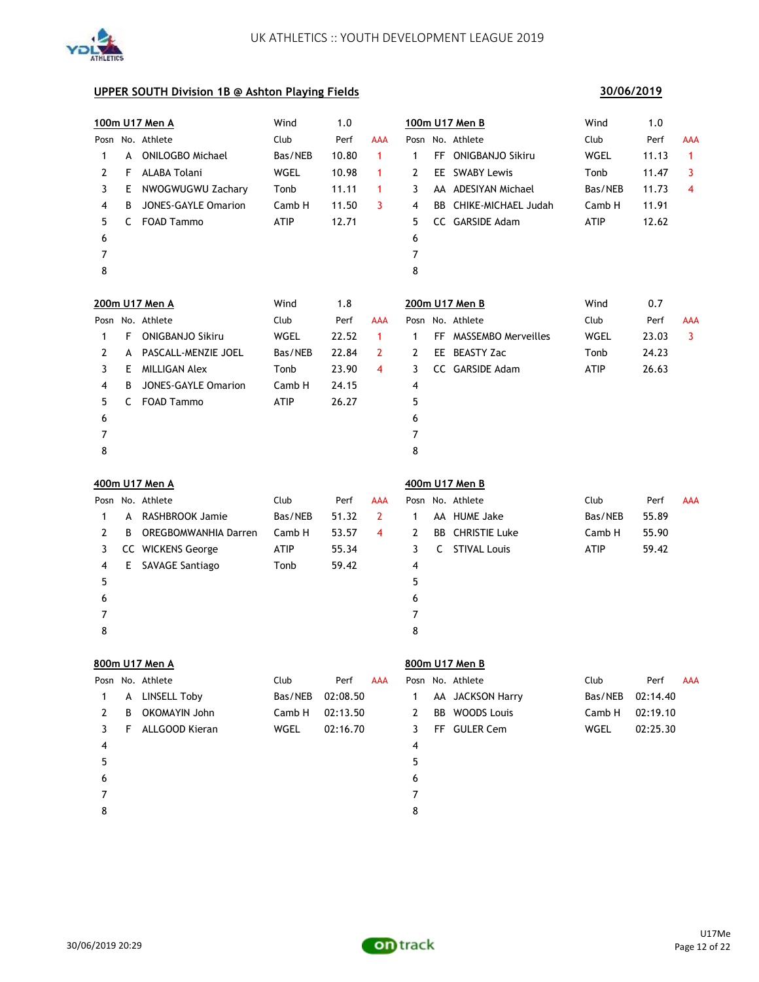

## **30/06/2019**

|   |    | 100m U17 Men A          | Wind        | 1.0      |                |   |   | 100m U17 Men B          | Wind        | 1.0      |            |
|---|----|-------------------------|-------------|----------|----------------|---|---|-------------------------|-------------|----------|------------|
|   |    | Posn No. Athlete        | Club        | Perf     | AAA            |   |   | Posn No. Athlete        | Club        | Perf     | <b>AAA</b> |
| 1 | A  | <b>ONILOGBO Michael</b> | Bas/NEB     | 10.80    | $\mathbf{1}$   | 1 |   | FF ONIGBANJO Sikiru     | <b>WGEL</b> | 11.13    | 1          |
| 2 | F. | ALABA Tolani            | WGEL        | 10.98    | 1              | 2 |   | EE SWABY Lewis          | Tonb        | 11.47    | 3          |
| 3 | E. | NWOGWUGWU Zachary       | Tonb        | 11.11    | 1              | 3 |   | AA ADESIYAN Michael     | Bas/NEB     | 11.73    | 4          |
| 4 | B  | JONES-GAYLE Omarion     | Camb H      | 11.50    | 3              | 4 |   | BB CHIKE-MICHAEL Judah  | Camb H      | 11.91    |            |
| 5 | C  | <b>FOAD Tammo</b>       | ATIP        | 12.71    |                | 5 |   | CC GARSIDE Adam         | ATIP        | 12.62    |            |
| 6 |    |                         |             |          |                | 6 |   |                         |             |          |            |
| 7 |    |                         |             |          |                | 7 |   |                         |             |          |            |
| 8 |    |                         |             |          |                | 8 |   |                         |             |          |            |
|   |    | 200m U17 Men A          | Wind        | 1.8      |                |   |   | 200m U17 Men B          | Wind        | 0.7      |            |
|   |    | Posn No. Athlete        | Club        | Perf     | AAA            |   |   | Posn No. Athlete        | Club        | Perf     | <b>AAA</b> |
| 1 | F. | ONIGBANJO Sikiru        | WGEL        | 22.52    | $\overline{1}$ | 1 |   | FF MASSEMBO Merveilles  | WGEL        | 23.03    | 3          |
| 2 | A  | PASCALL-MENZIE JOEL     | Bas/NEB     | 22.84    | 2              | 2 |   | EE BEASTY Zac           | Tonb        | 24.23    |            |
| 3 | E. | <b>MILLIGAN Alex</b>    | Tonb        | 23.90    | 4              | 3 |   | CC GARSIDE Adam         | ATIP        | 26.63    |            |
| 4 | B  | JONES-GAYLE Omarion     | Camb H      | 24.15    |                | 4 |   |                         |             |          |            |
| 5 | C  | <b>FOAD Tammo</b>       | <b>ATIP</b> | 26.27    |                | 5 |   |                         |             |          |            |
| 6 |    |                         |             |          |                | 6 |   |                         |             |          |            |
| 7 |    |                         |             |          |                | 7 |   |                         |             |          |            |
| 8 |    |                         |             |          |                | 8 |   |                         |             |          |            |
|   |    | <u>400m U17 Men A</u>   |             |          |                |   |   | 400m U17 Men B          |             |          |            |
|   |    | Posn No. Athlete        | Club        | Perf     | <b>AAA</b>     |   |   | Posn No. Athlete        | Club        | Perf     | AAA        |
| 1 | A  | RASHBROOK Jamie         | Bas/NEB     | 51.32    | $\overline{2}$ | 1 |   | AA HUME Jake            | Bas/NEB     | 55.89    |            |
| 2 | B  | OREGBOMWANHIA Darren    | Camb H      | 53.57    | 4              | 2 |   | <b>BB</b> CHRISTIE Luke | Camb H      | 55.90    |            |
| 3 |    | CC WICKENS George       | <b>ATIP</b> | 55.34    |                | 3 | C | <b>STIVAL Louis</b>     | <b>ATIP</b> | 59.42    |            |
| 4 |    | E SAVAGE Santiago       | Tonb        | 59.42    |                | 4 |   |                         |             |          |            |
| 5 |    |                         |             |          |                | 5 |   |                         |             |          |            |
| 6 |    |                         |             |          |                | 6 |   |                         |             |          |            |
| 7 |    |                         |             |          |                | 7 |   |                         |             |          |            |
| 8 |    |                         |             |          |                | 8 |   |                         |             |          |            |
|   |    | 800m U17 Men A          |             |          |                |   |   | 800m U17 Men B          |             |          |            |
|   |    | Posn No. Athlete        | Club        | Perf     | AAA            |   |   | Posn No. Athlete        | Club        | Perf     | AAA        |
| 1 | A  | <b>LINSELL Toby</b>     | Bas/NEB     | 02:08.50 |                | 1 |   | AA JACKSON Harry        | Bas/NEB     | 02:14.40 |            |
| 2 | B  | OKOMAYIN John           | Camb H      | 02:13.50 |                | 2 |   | BB WOODS Louis          | Camb H      | 02:19.10 |            |
| 3 | F. | ALLGOOD Kieran          | WGEL        | 02:16.70 |                | 3 |   | FF GULER Cem            | WGEL        | 02:25.30 |            |
| 4 |    |                         |             |          |                | 4 |   |                         |             |          |            |
| 5 |    |                         |             |          |                | 5 |   |                         |             |          |            |
| 6 |    |                         |             |          |                | 6 |   |                         |             |          |            |
| 7 |    |                         |             |          |                | 7 |   |                         |             |          |            |
| 8 |    |                         |             |          |                | 8 |   |                         |             |          |            |

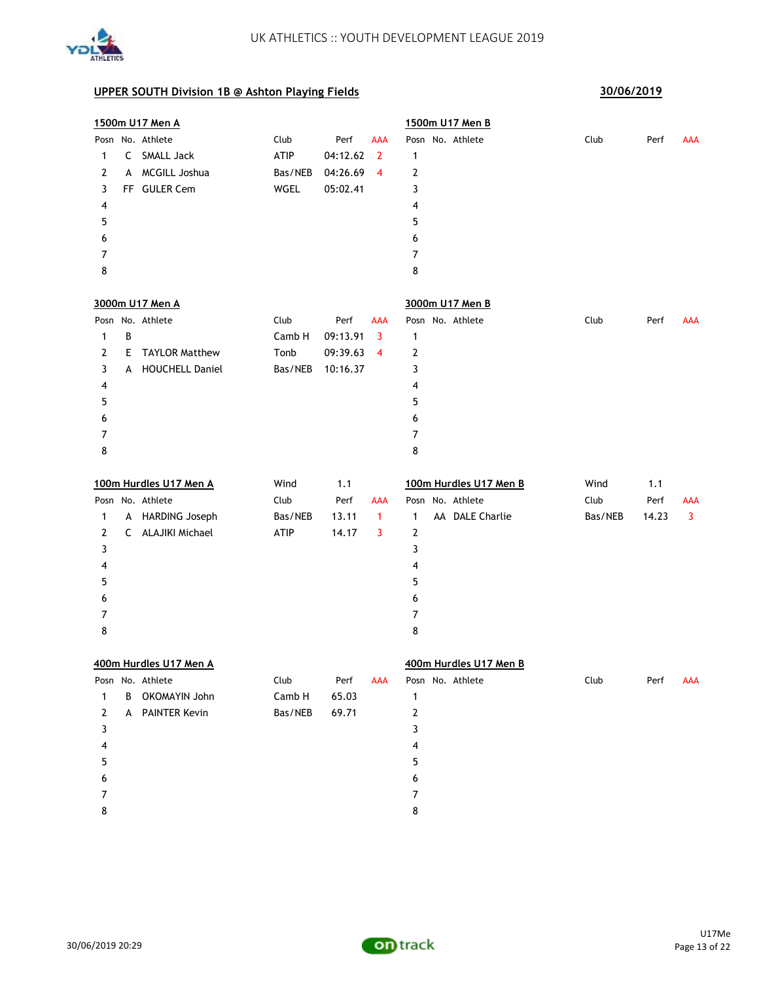

|              |   | 1500m U17 Men A        |         |          |                |   | 1500m U17 Men B        |         |       |     |
|--------------|---|------------------------|---------|----------|----------------|---|------------------------|---------|-------|-----|
|              |   | Posn No. Athlete       | Club    | Perf     | AAA            |   | Posn No. Athlete       | Club    | Perf  | AAA |
| 1            | C | SMALL Jack             | ATIP    | 04:12.62 | $\overline{2}$ | 1 |                        |         |       |     |
| 2            | A | MCGILL Joshua          | Bas/NEB | 04:26.69 | 4              | 2 |                        |         |       |     |
| 3            |   | FF GULER Cem           | WGEL    | 05:02.41 |                | 3 |                        |         |       |     |
| 4            |   |                        |         |          |                | 4 |                        |         |       |     |
| 5            |   |                        |         |          |                | 5 |                        |         |       |     |
| 6            |   |                        |         |          |                | 6 |                        |         |       |     |
| 7            |   |                        |         |          |                | 7 |                        |         |       |     |
| 8            |   |                        |         |          |                | 8 |                        |         |       |     |
|              |   | 3000m U17 Men A        |         |          |                |   | 3000m U17 Men B        |         |       |     |
|              |   | Posn No. Athlete       | Club    | Perf     | AAA            |   | Posn No. Athlete       | Club    | Perf  | AAA |
| 1            | B |                        | Camb H  | 09:13.91 | 3              | 1 |                        |         |       |     |
| 2            | Ε | <b>TAYLOR Matthew</b>  | Tonb    | 09:39.63 | $\overline{4}$ | 2 |                        |         |       |     |
| 3            | A | <b>HOUCHELL Daniel</b> | Bas/NEB | 10:16.37 |                | 3 |                        |         |       |     |
| 4            |   |                        |         |          |                | 4 |                        |         |       |     |
| 5            |   |                        |         |          |                | 5 |                        |         |       |     |
| 6            |   |                        |         |          |                | 6 |                        |         |       |     |
| 7            |   |                        |         |          |                | 7 |                        |         |       |     |
| 8            |   |                        |         |          |                | 8 |                        |         |       |     |
|              |   | 100m Hurdles U17 Men A | Wind    | 1.1      |                |   | 100m Hurdles U17 Men B | Wind    | 1.1   |     |
|              |   | Posn No. Athlete       | Club    | Perf     | AAA            |   | Posn No. Athlete       | Club    | Perf  | AAA |
| 1            |   | A HARDING Joseph       | Bas/NEB | 13.11    | 1              | 1 | AA DALE Charlie        | Bas/NEB | 14.23 | 3   |
| 2            | C | <b>ALAJIKI Michael</b> | ATIP    | 14.17    | 3              | 2 |                        |         |       |     |
| 3            |   |                        |         |          |                | 3 |                        |         |       |     |
| 4            |   |                        |         |          |                | 4 |                        |         |       |     |
| 5            |   |                        |         |          |                | 5 |                        |         |       |     |
| 6            |   |                        |         |          |                | 6 |                        |         |       |     |
| 7            |   |                        |         |          |                | 7 |                        |         |       |     |
| 8            |   |                        |         |          |                | 8 |                        |         |       |     |
|              |   | 400m Hurdles U17 Men A |         |          |                |   | 400m Hurdles U17 Men B |         |       |     |
|              |   | Posn No. Athlete       | Club    | Perf     | <b>AAA</b>     |   | Posn No. Athlete       | Club    | Perf  | AAA |
| $\mathbf{1}$ | B | OKOMAYIN John          | Camb H  | 65.03    |                | 1 |                        |         |       |     |
| 2            | A | <b>PAINTER Kevin</b>   | Bas/NEB | 69.71    |                | 2 |                        |         |       |     |
| 3            |   |                        |         |          |                | 3 |                        |         |       |     |
| 4            |   |                        |         |          |                | 4 |                        |         |       |     |
| 5            |   |                        |         |          |                | 5 |                        |         |       |     |
| 6            |   |                        |         |          |                | 6 |                        |         |       |     |
| 7            |   |                        |         |          |                | 7 |                        |         |       |     |
| 8            |   |                        |         |          |                | 8 |                        |         |       |     |

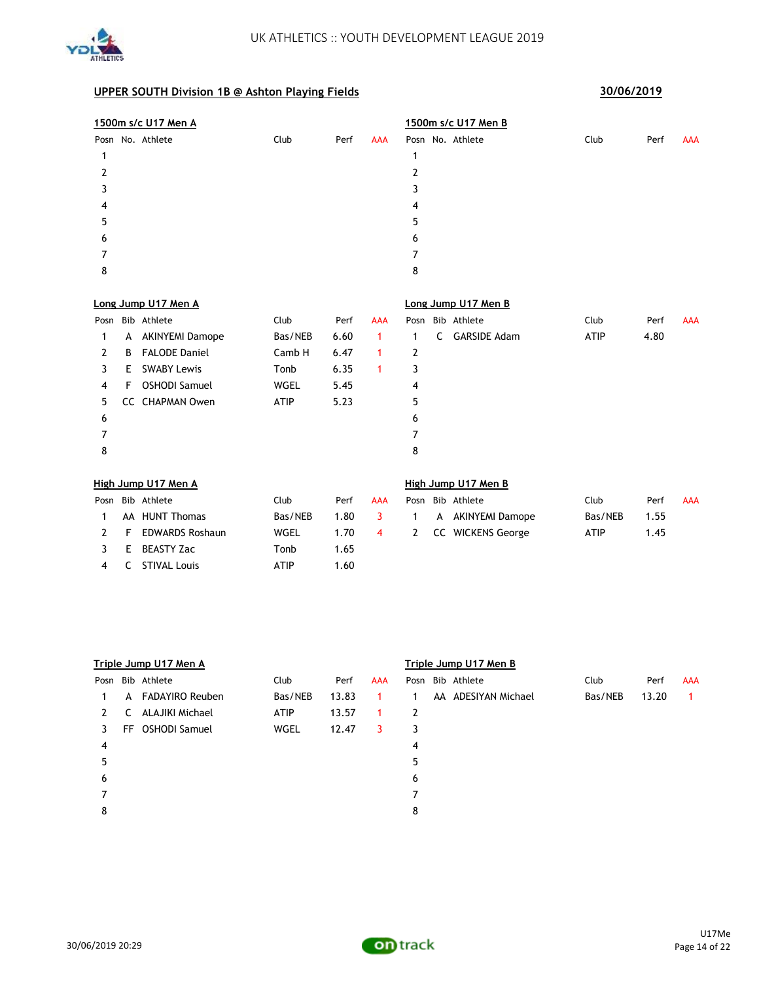

4 C STIVAL Louis **ATIP** 1.60

|      |    | 1500m s/c U17 Men A    |             |      |              |      |   | 1500m s/c U17 Men B      |             |      |            |
|------|----|------------------------|-------------|------|--------------|------|---|--------------------------|-------------|------|------------|
|      |    | Posn No. Athlete       | Club        | Perf | <b>AAA</b>   |      |   | Posn No. Athlete         | Club        | Perf | <b>AAA</b> |
| 1    |    |                        |             |      |              | 1    |   |                          |             |      |            |
| 2    |    |                        |             |      |              | 2    |   |                          |             |      |            |
| 3    |    |                        |             |      |              | 3    |   |                          |             |      |            |
| 4    |    |                        |             |      |              | 4    |   |                          |             |      |            |
| 5    |    |                        |             |      |              | 5    |   |                          |             |      |            |
| 6    |    |                        |             |      |              | 6    |   |                          |             |      |            |
| 7    |    |                        |             |      |              | 7    |   |                          |             |      |            |
| 8    |    |                        |             |      |              | 8    |   |                          |             |      |            |
|      |    | Long Jump U17 Men A    |             |      |              |      |   | Long Jump U17 Men B      |             |      |            |
| Posn |    | Bib Athlete            | Club        | Perf | <b>AAA</b>   | Posn |   | Bib Athlete              | Club        | Perf | <b>AAA</b> |
| 1    | A  | <b>AKINYEMI Damope</b> | Bas/NEB     | 6.60 | $\mathbf{1}$ | 1    | C | <b>GARSIDE Adam</b>      | ATIP        | 4.80 |            |
| 2    | B  | <b>FALODE Daniel</b>   | Camb H      | 6.47 | $\mathbf{1}$ | 2    |   |                          |             |      |            |
| 3    | E. | <b>SWABY Lewis</b>     | Tonb        | 6.35 | $\mathbf{1}$ | 3    |   |                          |             |      |            |
| 4    | F  | <b>OSHODI Samuel</b>   | WGEL        | 5.45 |              | 4    |   |                          |             |      |            |
| 5    |    | CC CHAPMAN Owen        | <b>ATIP</b> | 5.23 |              | 5    |   |                          |             |      |            |
| 6    |    |                        |             |      |              | 6    |   |                          |             |      |            |
| 7    |    |                        |             |      |              | 7    |   |                          |             |      |            |
| 8    |    |                        |             |      |              | 8    |   |                          |             |      |            |
|      |    | High Jump U17 Men A    |             |      |              |      |   | High Jump U17 Men B      |             |      |            |
| Posn |    | Bib Athlete            | Club        | Perf | <b>AAA</b>   |      |   | Posn Bib Athlete         | Club        | Perf | <b>AAA</b> |
| 1    |    | AA HUNT Thomas         | Bas/NEB     | 1.80 | 3            | 1    |   | A AKINYEMI Damope        | Bas/NEB     | 1.55 |            |
| 2    | F  | <b>EDWARDS Roshaun</b> | WGEL        | 1.70 | 4            | 2    |   | <b>CC WICKENS George</b> | <b>ATIP</b> | 1.45 |            |
| 3    | Ε  | <b>BEASTY Zac</b>      | Tonb        | 1.65 |              |      |   |                          |             |      |            |

|      | Triple Jump U17 Men A |                        |             |       |     | Triple Jump U17 Men B |    |                  |         |       |            |  |
|------|-----------------------|------------------------|-------------|-------|-----|-----------------------|----|------------------|---------|-------|------------|--|
| Posn |                       | Bib Athlete            | Club        | Perf  | AAA | Posn                  |    | Bib Athlete      | Club    | Perf  | <b>AAA</b> |  |
| 1    | A                     | <b>FADAYIRO Reuben</b> | Bas/NEB     | 13.83 |     |                       | AA | ADESIYAN Michael | Bas/NEB | 13.20 |            |  |
| 2    | C                     | <b>ALAJIKI Michael</b> | <b>ATIP</b> | 13.57 |     | 2                     |    |                  |         |       |            |  |
| 3    | FF                    | <b>OSHODI Samuel</b>   | WGEL        | 12.47 | 3   | 3                     |    |                  |         |       |            |  |
| 4    |                       |                        |             |       |     | 4                     |    |                  |         |       |            |  |
| 5    |                       |                        |             |       |     | 5                     |    |                  |         |       |            |  |
| 6    |                       |                        |             |       |     | 6                     |    |                  |         |       |            |  |
| 7    |                       |                        |             |       |     |                       |    |                  |         |       |            |  |
| 8    |                       |                        |             |       |     | 8                     |    |                  |         |       |            |  |
|      |                       |                        |             |       |     |                       |    |                  |         |       |            |  |

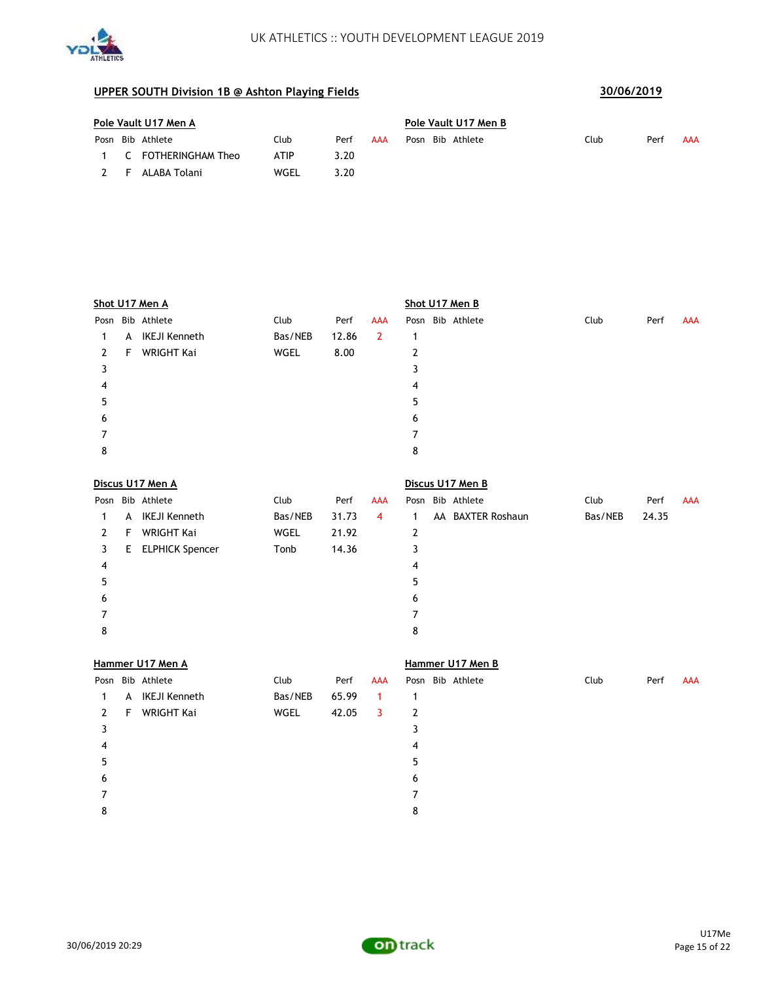

| Pole Vault U17 Men A |    |                       |             |      |            | Pole Vault U17 Men B |      |      |            |  |  |  |  |
|----------------------|----|-----------------------|-------------|------|------------|----------------------|------|------|------------|--|--|--|--|
|                      |    | Posn Bib Athlete      | Club        | Perf | <b>AAA</b> | Posn Bib Athlete     | Club | Perf | <b>AAA</b> |  |  |  |  |
|                      |    | 1 C FOTHERINGHAM Theo | <b>ATIP</b> | 3.20 |            |                      |      |      |            |  |  |  |  |
| $\mathcal{L}$        | -F | ALABA Tolani          | WGEL        | 3.20 |            |                      |      |      |            |  |  |  |  |

|              | Shot U17 Men A |                        |         |       |                |   | Shot U17 Men B    |         |       |            |
|--------------|----------------|------------------------|---------|-------|----------------|---|-------------------|---------|-------|------------|
| Posn         |                | Bib Athlete            | Club    | Perf  | <b>AAA</b>     |   | Posn Bib Athlete  | Club    | Perf  | <b>AAA</b> |
| 1            | A              | <b>IKEJI Kenneth</b>   | Bas/NEB | 12.86 | $\overline{2}$ | 1 |                   |         |       |            |
| $\mathbf{2}$ | F              | <b>WRIGHT Kai</b>      | WGEL    | 8.00  |                | 2 |                   |         |       |            |
| 3            |                |                        |         |       |                | 3 |                   |         |       |            |
| 4            |                |                        |         |       |                | 4 |                   |         |       |            |
| 5            |                |                        |         |       |                | 5 |                   |         |       |            |
| 6            |                |                        |         |       |                | 6 |                   |         |       |            |
| 7            |                |                        |         |       |                | 7 |                   |         |       |            |
| 8            |                |                        |         |       |                | 8 |                   |         |       |            |
|              |                |                        |         |       |                |   |                   |         |       |            |
|              |                | Discus U17 Men A       |         |       |                |   | Discus U17 Men B  |         |       |            |
| Posn         |                | Bib Athlete            | Club    | Perf  | <b>AAA</b>     |   | Posn Bib Athlete  | Club    | Perf  | <b>AAA</b> |
| 1            | A              | <b>IKEJI Kenneth</b>   | Bas/NEB | 31.73 | $\overline{4}$ | 1 | AA BAXTER Roshaun | Bas/NEB | 24.35 |            |
| $\mathbf{2}$ | F              | <b>WRIGHT Kai</b>      | WGEL    | 21.92 |                | 2 |                   |         |       |            |
| 3            | E.             | <b>ELPHICK Spencer</b> | Tonb    | 14.36 |                | 3 |                   |         |       |            |
| 4            |                |                        |         |       |                | 4 |                   |         |       |            |
| 5            |                |                        |         |       |                | 5 |                   |         |       |            |
| 6            |                |                        |         |       |                | 6 |                   |         |       |            |
| 7            |                |                        |         |       |                |   |                   |         |       |            |
|              |                |                        |         |       |                | 7 |                   |         |       |            |

|   | Hammer U17 Men A |                   |         |       |                |   | Hammer U17 Men B |                  |      |      |     |  |  |
|---|------------------|-------------------|---------|-------|----------------|---|------------------|------------------|------|------|-----|--|--|
|   |                  | Posn Bib Athlete  | Club    | Perf  | AAA            |   |                  | Posn Bib Athlete | Club | Perf | AAA |  |  |
| 1 | A                | IKEJI Kenneth     | Bas/NEB | 65.99 | $\blacksquare$ | 1 |                  |                  |      |      |     |  |  |
| 2 | F                | <b>WRIGHT Kai</b> | WGEL    | 42.05 | - 3            | 2 |                  |                  |      |      |     |  |  |
| 3 |                  |                   |         |       |                |   |                  |                  |      |      |     |  |  |
| 4 |                  |                   |         |       |                | 4 |                  |                  |      |      |     |  |  |
| 5 |                  |                   |         |       |                | 5 |                  |                  |      |      |     |  |  |
| 6 |                  |                   |         |       |                | 6 |                  |                  |      |      |     |  |  |
| 7 |                  |                   |         |       |                |   |                  |                  |      |      |     |  |  |
| 8 |                  |                   |         |       |                | 8 |                  |                  |      |      |     |  |  |
|   |                  |                   |         |       |                |   |                  |                  |      |      |     |  |  |

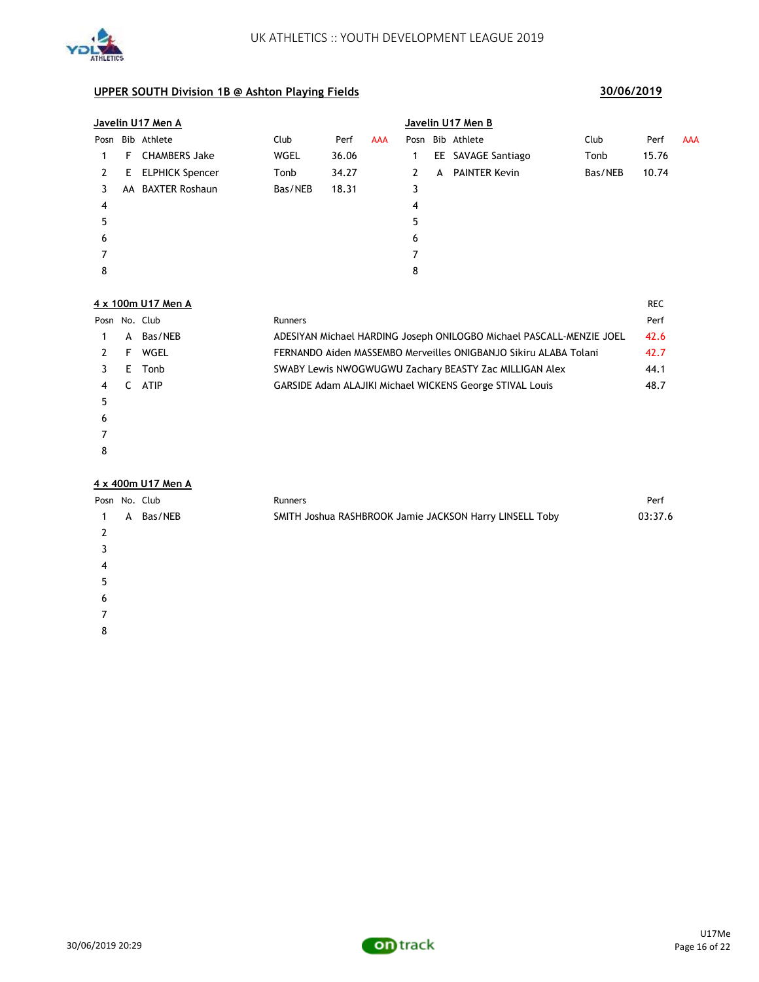

|              | Javelin U17 Men A |                        |         |       |            |   | Javelin U17 Men B |                      |         |       |            |  |  |
|--------------|-------------------|------------------------|---------|-------|------------|---|-------------------|----------------------|---------|-------|------------|--|--|
|              |                   | Posn Bib Athlete       | Club    | Perf  | <b>AAA</b> |   |                   | Posn Bib Athlete     | Club    | Perf  | <b>AAA</b> |  |  |
|              | F                 | <b>CHAMBERS Jake</b>   | WGEL    | 36.06 |            | 1 |                   | EE SAVAGE Santiago   | Tonb    | 15.76 |            |  |  |
| $\mathbf{2}$ | E.                | <b>ELPHICK Spencer</b> | Tonb    | 34.27 |            | 2 | A                 | <b>PAINTER Kevin</b> | Bas/NEB | 10.74 |            |  |  |
|              | AA                | <b>BAXTER Roshaun</b>  | Bas/NEB | 18.31 |            | 3 |                   |                      |         |       |            |  |  |
| 4            |                   |                        |         |       |            | 4 |                   |                      |         |       |            |  |  |
| 5            |                   |                        |         |       |            | 5 |                   |                      |         |       |            |  |  |
| 6            |                   |                        |         |       |            | 6 |                   |                      |         |       |            |  |  |
|              |                   |                        |         |       |            |   |                   |                      |         |       |            |  |  |
| 8            |                   |                        |         |       |            | 8 |                   |                      |         |       |            |  |  |

### **4 x 100m U17 Men A** REC

| Posn No. Club |   |             | <b>Runners</b>                                                       | Perf |
|---------------|---|-------------|----------------------------------------------------------------------|------|
|               | A | Bas/NEB     | ADESIYAN Michael HARDING Joseph ONILOGBO Michael PASCALL-MENZIE JOEL | 42.6 |
| $\mathcal{L}$ | F | WGEL        | FERNANDO Aiden MASSEMBO Merveilles ONIGBANJO Sikiru ALABA Tolani     | 42.7 |
|               | F | Tonb        | SWABY Lewis NWOGWUGWU Zachary BEASTY Zac MILLIGAN Alex               | 44.1 |
| 4             |   | <b>ATIP</b> | <b>GARSIDE Adam ALAJIKI Michael WICKENS George STIVAL Louis</b>      | 48.7 |
| 5             |   |             |                                                                      |      |
| 6             |   |             |                                                                      |      |
|               |   |             |                                                                      |      |
| 8             |   |             |                                                                      |      |

### **4 x 400m U17 Men A**

|   |   | Posn No. Club | Runners                                                 | Perf    |
|---|---|---------------|---------------------------------------------------------|---------|
|   | A | Bas/NEB       | SMITH Joshua RASHBROOK Jamie JACKSON Harry LINSELL Toby | 03:37.6 |
|   |   |               |                                                         |         |
|   |   |               |                                                         |         |
| 4 |   |               |                                                         |         |
| 5 |   |               |                                                         |         |
| 6 |   |               |                                                         |         |
|   |   |               |                                                         |         |
| 8 |   |               |                                                         |         |

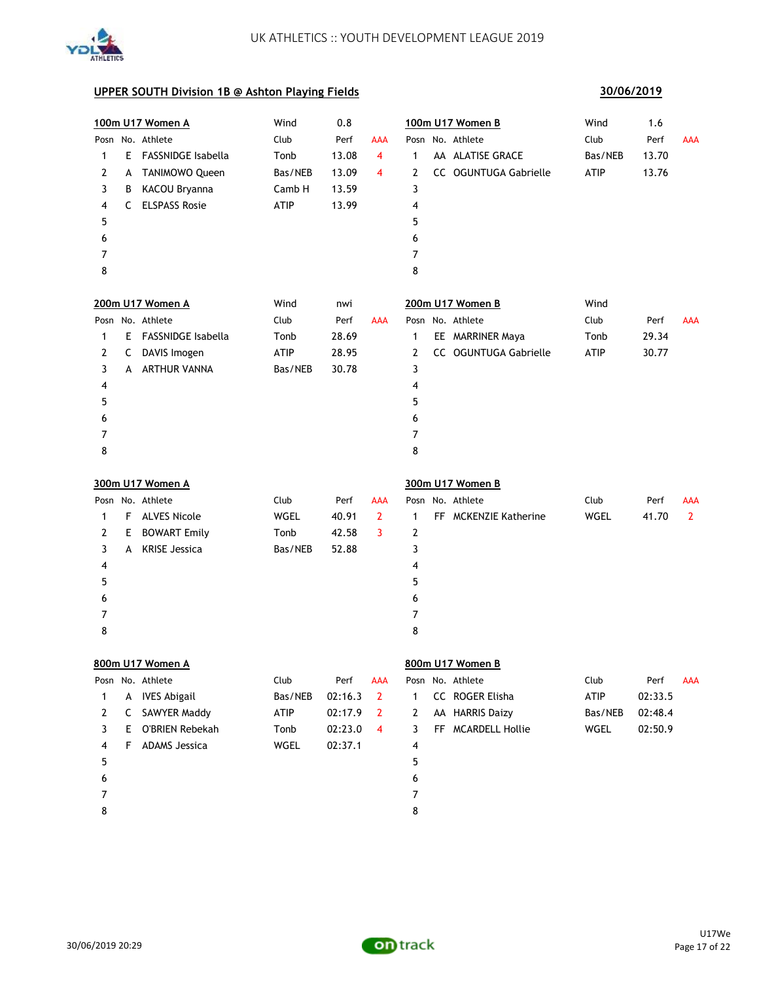

## **30/06/2019**

|   |    | 100m U17 Women A     | Wind        | 0.8     |              |              | 100m U17 Women B      | Wind        | 1.6     |                |
|---|----|----------------------|-------------|---------|--------------|--------------|-----------------------|-------------|---------|----------------|
|   |    | Posn No. Athlete     | Club        | Perf    | <b>AAA</b>   |              | Posn No. Athlete      | Club        | Perf    | AAA            |
| 1 | E. | FASSNIDGE Isabella   | Tonb        | 13.08   | 4            | $\mathbf{1}$ | AA ALATISE GRACE      | Bas/NEB     | 13.70   |                |
| 2 | A  | TANIMOWO Queen       | Bas/NEB     | 13.09   | 4            | 2            | CC OGUNTUGA Gabrielle | ATIP        | 13.76   |                |
| 3 | B  | KACOU Bryanna        | Camb H      | 13.59   |              | 3            |                       |             |         |                |
| 4 | C  | <b>ELSPASS Rosie</b> | <b>ATIP</b> | 13.99   |              | 4            |                       |             |         |                |
| 5 |    |                      |             |         |              | 5            |                       |             |         |                |
| 6 |    |                      |             |         |              | 6            |                       |             |         |                |
| 7 |    |                      |             |         |              | 7            |                       |             |         |                |
| 8 |    |                      |             |         |              | 8            |                       |             |         |                |
|   |    | 200m U17 Women A     | Wind        | nwi     |              |              | 200m U17 Women B      | Wind        |         |                |
|   |    | Posn No. Athlete     | Club        | Perf    | AAA          |              | Posn No. Athlete      | Club        | Perf    | AAA            |
| 1 | E. | FASSNIDGE Isabella   | Tonb        | 28.69   |              | 1            | EE MARRINER Maya      | Tonb        | 29.34   |                |
| 2 | C  | DAVIS Imogen         | ATIP        | 28.95   |              | 2            | CC OGUNTUGA Gabrielle | ATIP        | 30.77   |                |
| 3 | A  | <b>ARTHUR VANNA</b>  | Bas/NEB     | 30.78   |              | 3            |                       |             |         |                |
| 4 |    |                      |             |         |              | 4            |                       |             |         |                |
| 5 |    |                      |             |         |              | 5            |                       |             |         |                |
| 6 |    |                      |             |         |              | 6            |                       |             |         |                |
| 7 |    |                      |             |         |              | 7            |                       |             |         |                |
| 8 |    |                      |             |         |              | 8            |                       |             |         |                |
|   |    | 300m U17 Women A     |             |         |              |              | 300m U17 Women B      |             |         |                |
|   |    | Posn No. Athlete     | Club        | Perf    | <b>AAA</b>   |              | Posn No. Athlete      | Club        | Perf    | AAA            |
| 1 | F. | <b>ALVES Nicole</b>  | WGEL        | 40.91   | $\mathbf{2}$ | 1            | FF MCKENZIE Katherine | <b>WGEL</b> | 41.70   | $\overline{2}$ |
| 2 | E. | <b>BOWART Emily</b>  | Tonb        | 42.58   | 3            | 2            |                       |             |         |                |
| 3 | A  | <b>KRISE Jessica</b> | Bas/NEB     | 52.88   |              | 3            |                       |             |         |                |
| 4 |    |                      |             |         |              | 4            |                       |             |         |                |
| 5 |    |                      |             |         |              | 5            |                       |             |         |                |
| 6 |    |                      |             |         |              | 6            |                       |             |         |                |
| 7 |    |                      |             |         |              | 7            |                       |             |         |                |
| 8 |    |                      |             |         |              | 8            |                       |             |         |                |
|   |    | 800m U17 Women A     |             |         |              |              | 800m U17 Women B      |             |         |                |
|   |    | Posn No. Athlete     | Club        | Perf    | AAA          |              | Posn No. Athlete      | Club        | Perf    | <b>AAA</b>     |
| 1 | A  | <b>IVES Abigail</b>  | Bas/NEB     | 02:16.3 | $\mathbf{2}$ | 1            | CC ROGER Elisha       | ATIP        | 02:33.5 |                |
| 2 | C  | <b>SAWYER Maddy</b>  | ATIP        | 02:17.9 | 2            | 2            | AA HARRIS Daizy       | Bas/NEB     | 02:48.4 |                |
| 3 | E. | O'BRIEN Rebekah      | Tonb        | 02:23.0 | 4            | 3            | FF MCARDELL Hollie    | WGEL        | 02:50.9 |                |
| 4 | F  | <b>ADAMS Jessica</b> | WGEL        | 02:37.1 |              | 4            |                       |             |         |                |
| 5 |    |                      |             |         |              | 5            |                       |             |         |                |
| 6 |    |                      |             |         |              | 6            |                       |             |         |                |
| 7 |    |                      |             |         |              | 7            |                       |             |         |                |
| 8 |    |                      |             |         |              | 8            |                       |             |         |                |

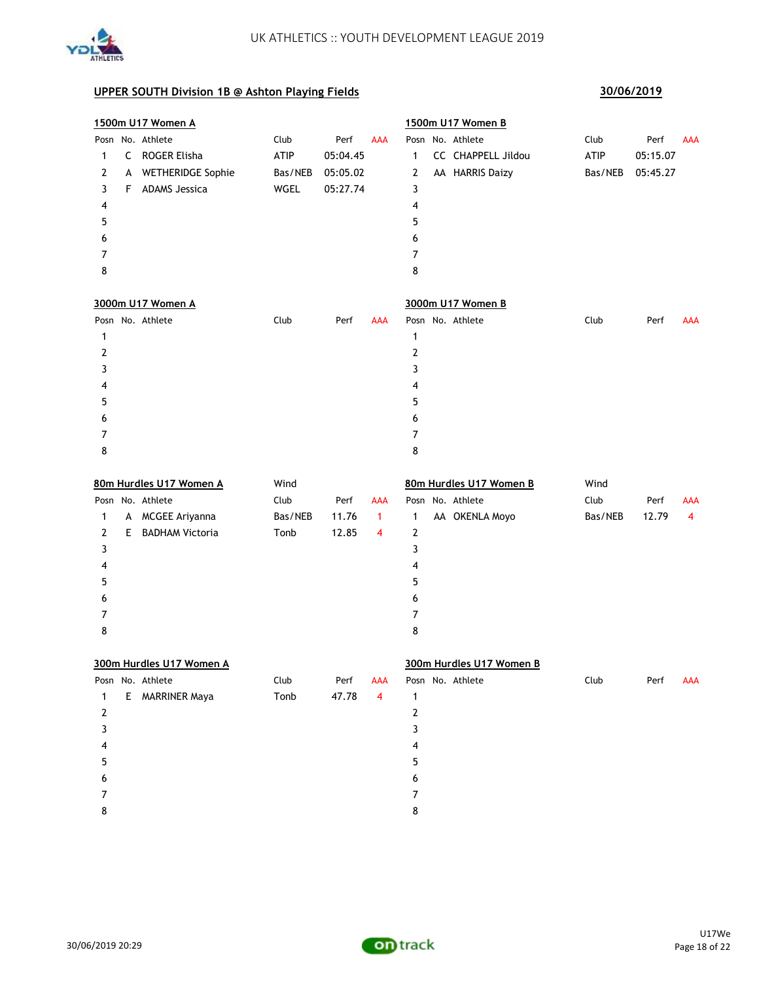

|   | 1500m U17 Women A |                          |             |          |            |   | 1500m U17 Women B  |         |          |            |
|---|-------------------|--------------------------|-------------|----------|------------|---|--------------------|---------|----------|------------|
|   |                   | Posn No. Athlete         | Club        | Perf     | <b>AAA</b> |   | Posn No. Athlete   | Club    | Perf     | <b>AAA</b> |
|   | C                 | ROGER Elisha             | <b>ATIP</b> | 05:04.45 |            | 1 | CC CHAPPELL Jildou | ATIP    | 05:15.07 |            |
| 2 | A                 | <b>WETHERIDGE Sophie</b> | Bas/NEB     | 05:05.02 |            | 2 | AA HARRIS Daizy    | Bas/NEB | 05:45.27 |            |
| 3 | F                 | <b>ADAMS</b> Jessica     | WGEL        | 05:27.74 |            | 3 |                    |         |          |            |
| 4 |                   |                          |             |          |            | 4 |                    |         |          |            |
| 5 |                   |                          |             |          |            | 5 |                    |         |          |            |
| 6 |                   |                          |             |          |            | 6 |                    |         |          |            |
|   |                   |                          |             |          |            |   |                    |         |          |            |
| 8 |                   |                          |             |          |            | 8 |                    |         |          |            |
|   |                   |                          |             |          |            |   |                    |         |          |            |

| 3000m U17 Women A |      | 3000m U17 Women B |                  |      |             |
|-------------------|------|-------------------|------------------|------|-------------|
| Posn No. Athlete  | Club | AAA<br>Perf       | Posn No. Athlete | Club | AAA<br>Perf |
|                   |      |                   |                  |      |             |
|                   |      |                   |                  |      |             |
|                   |      |                   |                  |      |             |
| 4                 |      |                   | 4                |      |             |
| 5                 |      |                   |                  |      |             |
| 6                 |      |                   | 6                |      |             |
|                   |      |                   |                  |      |             |
| 8                 |      |                   | 8                |      |             |
|                   |      |                   |                  |      |             |

|   |   | 80m Hurdles U17 Women A | Wind    |       |            |   | 80m Hurdles U17 Women B | Wind    |       |            |
|---|---|-------------------------|---------|-------|------------|---|-------------------------|---------|-------|------------|
|   |   | Posn No. Athlete        | Club    | Perf  | <b>AAA</b> |   | Posn No. Athlete        | Club    | Perf  | <b>AAA</b> |
|   | A | <b>MCGEE Ariyanna</b>   | Bas/NEB | 11.76 |            |   | AA OKENLA Moyo          | Bas/NEB | 12.79 | 4          |
| 2 | F | <b>BADHAM Victoria</b>  | Tonb    | 12.85 | 4          | 2 |                         |         |       |            |
| 3 |   |                         |         |       |            |   |                         |         |       |            |
| 4 |   |                         |         |       |            | 4 |                         |         |       |            |
| 5 |   |                         |         |       |            | 5 |                         |         |       |            |
| 6 |   |                         |         |       |            | 6 |                         |         |       |            |
|   |   |                         |         |       |            |   |                         |         |       |            |
| 8 |   |                         |         |       |            | 8 |                         |         |       |            |

|   |    | 300m Hurdles U17 Women A |      |       |                |   | 300m Hurdles U17 Women B |      |      |     |
|---|----|--------------------------|------|-------|----------------|---|--------------------------|------|------|-----|
|   |    | Posn No. Athlete         | Club | Perf  | <b>AAA</b>     |   | Posn No. Athlete         | Club | Perf | AAA |
| 1 | E. | <b>MARRINER Maya</b>     | Tonb | 47.78 | $\overline{4}$ |   |                          |      |      |     |
| 2 |    |                          |      |       |                | 2 |                          |      |      |     |
|   |    |                          |      |       |                |   |                          |      |      |     |
| 4 |    |                          |      |       |                | 4 |                          |      |      |     |
| 5 |    |                          |      |       |                | 5 |                          |      |      |     |
| 6 |    |                          |      |       |                | 6 |                          |      |      |     |
|   |    |                          |      |       |                |   |                          |      |      |     |
| 8 |    |                          |      |       |                | 8 |                          |      |      |     |
|   |    |                          |      |       |                |   |                          |      |      |     |



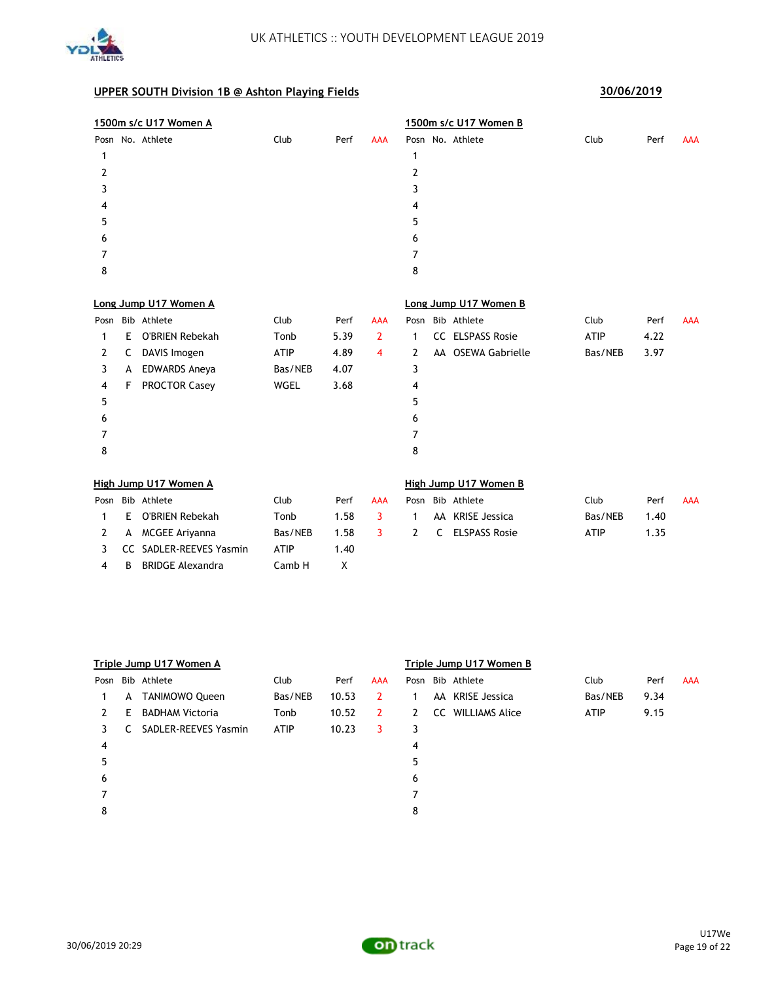

|      | <u>1500m s/c U17 Women A</u> |                         |             |      |                |      | 1500m s/c U17 Women B |                       |             |      |            |  |  |
|------|------------------------------|-------------------------|-------------|------|----------------|------|-----------------------|-----------------------|-------------|------|------------|--|--|
|      |                              | Posn No. Athlete        | Club        | Perf | <b>AAA</b>     |      |                       | Posn No. Athlete      | Club        | Perf | AAA        |  |  |
| 1    |                              |                         |             |      |                | 1    |                       |                       |             |      |            |  |  |
| 2    |                              |                         |             |      |                | 2    |                       |                       |             |      |            |  |  |
| 3    |                              |                         |             |      |                | 3    |                       |                       |             |      |            |  |  |
| 4    |                              |                         |             |      |                | 4    |                       |                       |             |      |            |  |  |
| 5    |                              |                         |             |      |                | 5    |                       |                       |             |      |            |  |  |
| 6    |                              |                         |             |      |                | 6    |                       |                       |             |      |            |  |  |
| 7    |                              |                         |             |      |                | 7    |                       |                       |             |      |            |  |  |
| 8    |                              |                         |             |      |                | 8    |                       |                       |             |      |            |  |  |
|      |                              | Long Jump U17 Women A   |             |      |                |      |                       | Long Jump U17 Women B |             |      |            |  |  |
| Posn |                              | Bib Athlete             | Club        | Perf | <b>AAA</b>     | Posn |                       | Bib Athlete           | Club        | Perf | <b>AAA</b> |  |  |
| 1    | E                            | O'BRIEN Rebekah         | Tonb        | 5.39 | $\overline{2}$ | 1    | CC                    | <b>ELSPASS Rosie</b>  | <b>ATIP</b> | 4.22 |            |  |  |
| 2    | C                            | DAVIS Imogen            | <b>ATIP</b> | 4.89 | 4              | 2    |                       | AA OSEWA Gabrielle    | Bas/NEB     | 3.97 |            |  |  |
| 3    | A                            | <b>EDWARDS Aneya</b>    | Bas/NEB     | 4.07 |                | 3    |                       |                       |             |      |            |  |  |
| 4    | F                            | <b>PROCTOR Casey</b>    | <b>WGEL</b> | 3.68 |                | 4    |                       |                       |             |      |            |  |  |
| 5    |                              |                         |             |      |                | 5    |                       |                       |             |      |            |  |  |
| 6    |                              |                         |             |      |                | 6    |                       |                       |             |      |            |  |  |
| 7    |                              |                         |             |      |                | 7    |                       |                       |             |      |            |  |  |
| 8    |                              |                         |             |      |                | 8    |                       |                       |             |      |            |  |  |
|      |                              | High Jump U17 Women A   |             |      |                |      |                       | High Jump U17 Women B |             |      |            |  |  |
| Posn |                              | Bib Athlete             | Club        | Perf | AAA            | Posn |                       | Bib Athlete           | Club        | Perf | <b>AAA</b> |  |  |
| 1    | Ε                            | <b>O'BRIEN Rebekah</b>  | Tonb        | 1.58 | 3              | 1    | AA                    | <b>KRISE Jessica</b>  | Bas/NEB     | 1.40 |            |  |  |
| 2    | A                            | MCGEE Ariyanna          | Bas/NEB     | 1.58 | 3              | 2    | С                     | <b>ELSPASS Rosie</b>  | <b>ATIP</b> | 1.35 |            |  |  |
| 3    | CC.                          | SADLER-REEVES Yasmin    | <b>ATIP</b> | 1.40 |                |      |                       |                       |             |      |            |  |  |
| 4    | B                            | <b>BRIDGE Alexandra</b> | Camb H      | X    |                |      |                       |                       |             |      |            |  |  |

|      | Triple Jump U17 Women A |                        |             |       |            |   | Triple Jump U17 Women B |                   |             |      |            |  |
|------|-------------------------|------------------------|-------------|-------|------------|---|-------------------------|-------------------|-------------|------|------------|--|
| Posn |                         | Bib Athlete            | Club        | Perf  | <b>AAA</b> |   |                         | Posn Bib Athlete  | Club        | Perf | <b>AAA</b> |  |
|      | A                       | <b>TANIMOWO Queen</b>  | Bas/NEB     | 10.53 | 2          |   |                         | AA KRISE Jessica  | Bas/NEB     | 9.34 |            |  |
| 2    | F                       | <b>BADHAM Victoria</b> | Tonb        | 10.52 | 2          | 2 |                         | CC WILLIAMS Alice | <b>ATIP</b> | 9.15 |            |  |
| 3.   |                         | SADLER-REEVES Yasmin   | <b>ATIP</b> | 10.23 | 3          | 3 |                         |                   |             |      |            |  |
| 4    |                         |                        |             |       |            | 4 |                         |                   |             |      |            |  |
| 5    |                         |                        |             |       |            | 5 |                         |                   |             |      |            |  |
| 6    |                         |                        |             |       |            | 6 |                         |                   |             |      |            |  |
|      |                         |                        |             |       |            |   |                         |                   |             |      |            |  |
| 8    |                         |                        |             |       |            | 8 |                         |                   |             |      |            |  |
|      |                         |                        |             |       |            |   |                         |                   |             |      |            |  |

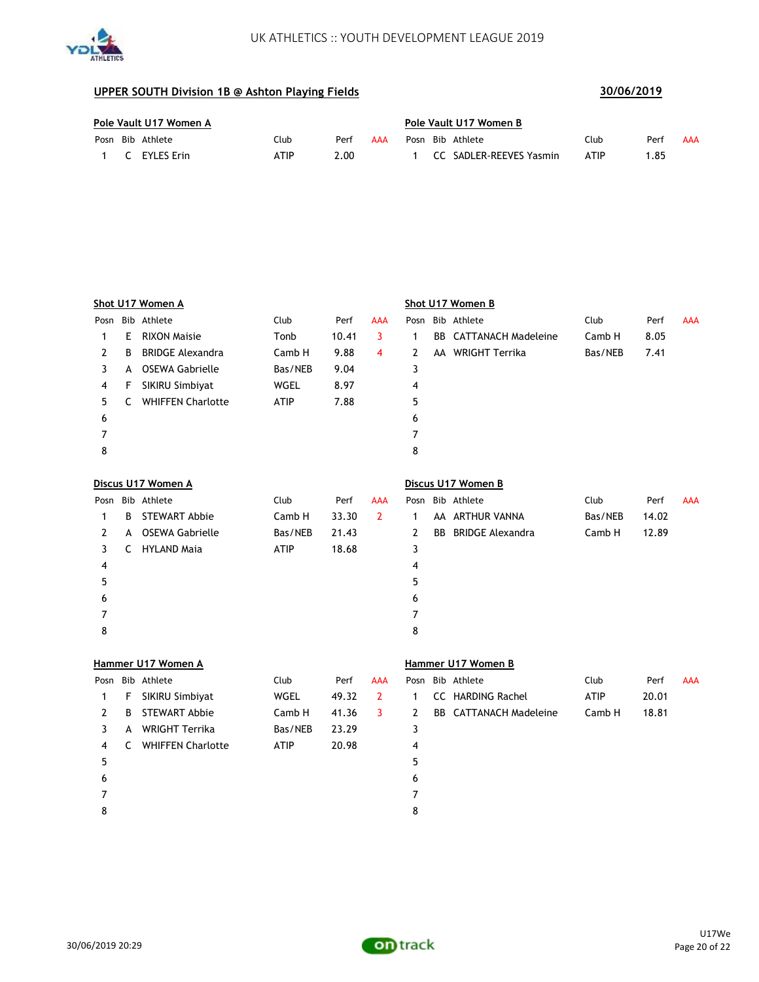

| Pole Vault U17 Women A |                  |      |      |     |  | Pole Vault U17 Women B |                           |             |                |     |  |  |
|------------------------|------------------|------|------|-----|--|------------------------|---------------------------|-------------|----------------|-----|--|--|
|                        | Posn Bib Athlete | Club | Perf | AAA |  |                        | Posn Bib Athlete          | Club        | Perf           | AAA |  |  |
|                        | 1 C EYLES Erin   | ATIP | 2.00 |     |  |                        | 1 CC SADLER-REEVES Yasmin | <b>ATIP</b> | $^{\circ}$ .85 |     |  |  |

|      | Shot U17 Women A |                          |             |       |                |              | Shot U17 Women B |                               |             |       |            |  |  |
|------|------------------|--------------------------|-------------|-------|----------------|--------------|------------------|-------------------------------|-------------|-------|------------|--|--|
| Posn |                  | Bib Athlete              | Club        | Perf  | <b>AAA</b>     | Posn         |                  | Bib Athlete                   | Club        | Perf  | <b>AAA</b> |  |  |
| 1    | E.               | <b>RIXON Maisie</b>      | Tonb        | 10.41 | 3              | $\mathbf{1}$ |                  | <b>BB</b> CATTANACH Madeleine | Camb H      | 8.05  |            |  |  |
| 2    | B                | <b>BRIDGE Alexandra</b>  | Camb H      | 9.88  | 4              | 2            |                  | AA WRIGHT Terrika             | Bas/NEB     | 7.41  |            |  |  |
| 3    | A                | <b>OSEWA Gabrielle</b>   | Bas/NEB     | 9.04  |                | 3            |                  |                               |             |       |            |  |  |
| 4    | F                | SIKIRU Simbiyat          | <b>WGEL</b> | 8.97  |                | 4            |                  |                               |             |       |            |  |  |
| 5    | C                | <b>WHIFFEN Charlotte</b> | <b>ATIP</b> | 7.88  |                | 5            |                  |                               |             |       |            |  |  |
| 6    |                  |                          |             |       |                | 6            |                  |                               |             |       |            |  |  |
| 7    |                  |                          |             |       |                | 7            |                  |                               |             |       |            |  |  |
| 8    |                  |                          |             |       |                | 8            |                  |                               |             |       |            |  |  |
|      |                  | Discus U17 Women A       |             |       |                |              |                  | Discus U17 Women B            |             |       |            |  |  |
| Posn |                  | Bib Athlete              | Club        | Perf  | <b>AAA</b>     | Posn         |                  | Bib Athlete                   | Club        | Perf  | <b>AAA</b> |  |  |
| 1    | B                | <b>STEWART Abbie</b>     | Camb H      | 33.30 | $\overline{2}$ | $\mathbf{1}$ |                  | AA ARTHUR VANNA               | Bas/NEB     | 14.02 |            |  |  |
| 2    | A                | <b>OSEWA Gabrielle</b>   | Bas/NEB     | 21.43 |                | 2            | <b>BB</b>        | <b>BRIDGE Alexandra</b>       | Camb H      | 12.89 |            |  |  |
| 3    | C.               | <b>HYLAND Maja</b>       | <b>ATIP</b> | 18.68 |                | 3            |                  |                               |             |       |            |  |  |
| 4    |                  |                          |             |       |                | 4            |                  |                               |             |       |            |  |  |
| 5    |                  |                          |             |       |                | 5            |                  |                               |             |       |            |  |  |
| 6    |                  |                          |             |       |                | 6            |                  |                               |             |       |            |  |  |
| 7    |                  |                          |             |       |                | 7            |                  |                               |             |       |            |  |  |
| 8    |                  |                          |             |       |                | 8            |                  |                               |             |       |            |  |  |
|      |                  | Hammer U17 Women A       |             |       |                |              |                  | Hammer U17 Women B            |             |       |            |  |  |
| Posn |                  | Bib Athlete              | Club        | Perf  | <b>AAA</b>     | Posn         |                  | Bib Athlete                   | Club        | Perf  | <b>AAA</b> |  |  |
| 1    | F                | SIKIRU Simbiyat          | <b>WGEL</b> | 49.32 | 2              | 1            |                  | <b>CC HARDING Rachel</b>      | <b>ATIP</b> | 20.01 |            |  |  |
| 2    | В                | <b>STEWART Abbie</b>     | Camb H      | 41.36 | 3              | 2            | BB               | <b>CATTANACH Madeleine</b>    | Camb H      | 18.81 |            |  |  |

3 A WRIGHT Terrika Bas/NEB 23.29 3 C WHIFFEN Charlotte ATIP 20.98 4 5 7 8

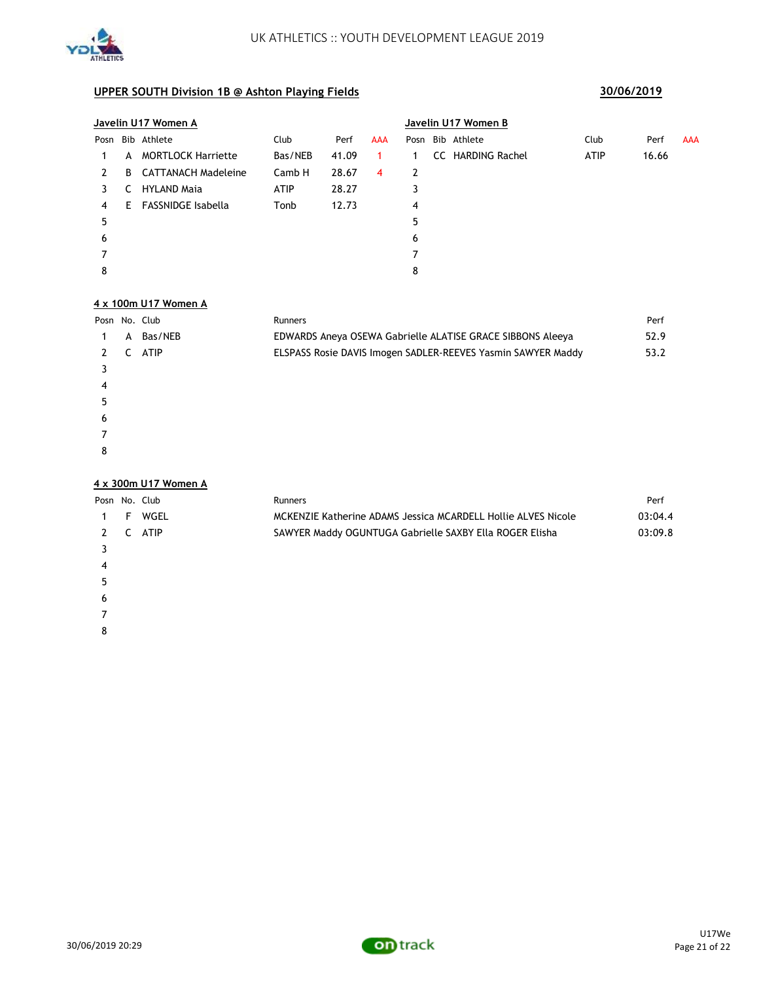

|               |   | Javelin U17 Women A          |             |       |            | Javelin U17 Women B |  |                   |             |       |            |  |
|---------------|---|------------------------------|-------------|-------|------------|---------------------|--|-------------------|-------------|-------|------------|--|
|               |   | Posn Bib Athlete             | Club        | Perf  | <b>AAA</b> |                     |  | Posn Bib Athlete  | Club        | Perf  | <b>AAA</b> |  |
|               | A | MORTLOCK Harriette           | Bas/NEB     | 41.09 | 1          |                     |  | CC HARDING Rachel | <b>ATIP</b> | 16.66 |            |  |
| $\mathcal{P}$ |   | <b>B</b> CATTANACH Madeleine | Camb H      | 28.67 | 4          | 2                   |  |                   |             |       |            |  |
| 3.            | C | HYLAND Maia                  | <b>ATIP</b> | 28.27 |            | 3                   |  |                   |             |       |            |  |
| 4             |   | E FASSNIDGE Isabella         | Tonb        | 12.73 |            | 4                   |  |                   |             |       |            |  |
| 5             |   |                              |             |       |            | 5                   |  |                   |             |       |            |  |
| 6             |   |                              |             |       |            | 6                   |  |                   |             |       |            |  |
|               |   |                              |             |       |            |                     |  |                   |             |       |            |  |
| 8             |   |                              |             |       |            | 8                   |  |                   |             |       |            |  |

### **4 x 100m U17 Women A**

| Posn No. Club |   |             | Runners                                                      | Perf |
|---------------|---|-------------|--------------------------------------------------------------|------|
|               | A | Bas/NEB     | EDWARDS Aneya OSEWA Gabrielle ALATISE GRACE SIBBONS Aleeya   | 52.9 |
| 2             | C | <b>ATIP</b> | ELSPASS Rosie DAVIS Imogen SADLER-REEVES Yasmin SAWYER Maddy | 53.2 |
|               |   |             |                                                              |      |
| 4             |   |             |                                                              |      |
| 5             |   |             |                                                              |      |
| 6             |   |             |                                                              |      |
|               |   |             |                                                              |      |
| 8             |   |             |                                                              |      |
|               |   |             |                                                              |      |

### **4 x 300m U17 Women A**

| Posn No. Club |   |             | Runners                                                       | Perf    |
|---------------|---|-------------|---------------------------------------------------------------|---------|
|               | F | WGEL        | MCKENZIE Katherine ADAMS Jessica MCARDELL Hollie ALVES Nicole | 03:04.4 |
| $\mathcal{L}$ | C | <b>ATIP</b> | SAWYER Maddy OGUNTUGA Gabrielle SAXBY Ella ROGER Elisha       | 03:09.8 |
|               |   |             |                                                               |         |
| 4             |   |             |                                                               |         |
| 5             |   |             |                                                               |         |
| 6             |   |             |                                                               |         |
|               |   |             |                                                               |         |
| 8             |   |             |                                                               |         |